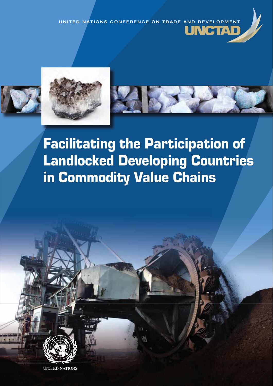CONFERENCE ON TRADE AND DEVELOPMENT **JNCTAD** 





Facilitating the Participation of Landlocked Developing Countries in Commodity Value Chains



UNITED NATIONS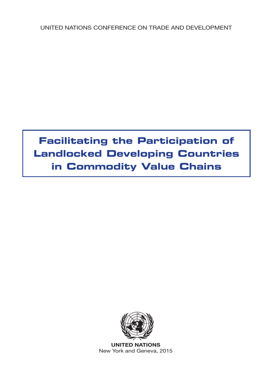UNITED NATIONS CONFERENCE ON TRADE AND DEVELOPMENT

# **Facilitating the Participation of Landlocked Developing Countries in Commodity Value Chains**



**UNITED NATIONS** New York and Geneva, 2015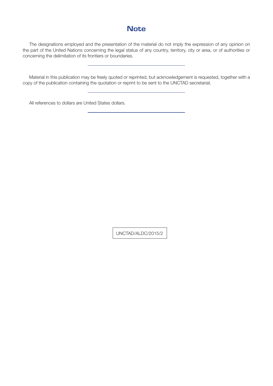## **Note**

The designations employed and the presentation of the material do not imply the expression of any opinion on the part of the United Nations concerning the legal status of any country, territory, city or area, or of authorities or concerning the delimitation of its frontiers or boundaries.

Material in this publication may be freely quoted or reprinted, but acknowledgement is requested, together with a copy of the publication containing the quotation or reprint to be sent to the UNCTAD secretariat.

All references to dollars are United States dollars.

UNCTAD/ALDC/2015/2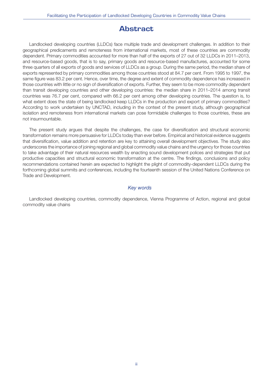## **Abstract**

Landlocked developing countries (LLDCs) face multiple trade and development challenges. In addition to their geographical predicaments and remoteness from international markets, most of these countries are commodity dependent. Primary commodities accounted for more than half of the exports of 27 out of 32 LLDCs in 2011–2013, and resource-based goods, that is to say, primary goods and resource-based manufactures, accounted for some three quarters of all exports of goods and services of LLDCs as a group. During the same period, the median share of exports represented by primary commodities among those countries stood at 84.7 per cent. From 1995 to 1997, the same figure was 83.2 per cent. Hence, over time, the degree and extent of commodity dependence has increased in those countries with little or no sign of diversification of exports. Further, they seem to be more commodity dependent than transit developing countries and other developing countries: the median share in 2011–2014 among transit countries was 76.7 per cent, compared with 66.2 per cent among other developing countries. The question is, to what extent does the state of being landlocked keep LLDCs in the production and export of primary commodities? According to work undertaken by UNCTAD, including in the context of the present study, although geographical isolation and remoteness from international markets can pose formidable challenges to those countries, these are not insurmountable.

The present study argues that despite the challenges, the case for diversification and structural economic transformation remains more persuasive for LLDCs today than ever before. Empirical and historical evidence suggests that diversification, value addition and retention are key to attaining overall development objectives. The study also underscores the importance of joining regional and global commodity value chains and the urgency for those countries to take advantage of their natural resources wealth by enacting sound development polices and strategies that put productive capacities and structural economic transformation at the centre. The findings, conclusions and policy recommendations contained herein are expected to highlight the plight of commodity-dependent LLDCs during the forthcoming global summits and conferences, including the fourteenth session of the United Nations Conference on Trade and Development.

#### Key words

Landlocked developing countries, commodity dependence, Vienna Programme of Action, regional and global commodity value chains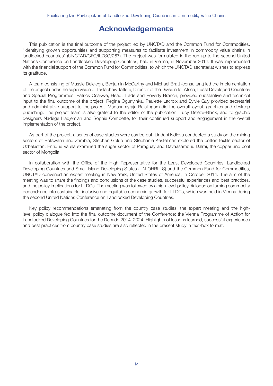## **Acknowledgements**

This publication is the final outcome of the project led by UNCTAD and the Common Fund for Commodities, "Identifying growth opportunities and supporting measures to facilitate investment in commodity value chains in landlocked countries" (UNCTAD/CFC/ILZSG/267). The project was formulated in the run-up to the second United Nations Conference on Landlocked Developing Countries, held in Vienna, in November 2014. It was implemented with the financial support of the Common Fund for Commodities, to which the UNCTAD secretariat wishes to express its gratitude.

A team consisting of Mussie Delelegn, Benjamin McCarthy and Michael Bratt (consultant) led the implementation of the project under the supervision of Tesfachew Taffere, Director of the Division for Africa, Least Developed Countries and Special Programmes. Patrick Osakwe, Head, Trade and Poverty Branch, provided substantive and technical input to the final outcome of the project. Regina Ogunyinka, Paulette Lacroix and Sylvie Guy provided secretarial and administrative support to the project. Madasamyraja Rajalingam did the overall layout, graphics and desktop publishing. The project team is also grateful to the editor of the publication, Lucy Délèze-Black, and to graphic designers Nadège Hadjemian and Sophie Combette, for their continued support and engagement in the overall implementation of the project.

As part of the project, a series of case studies were carried out. Lindani Ndlovu conducted a study on the mining sectors of Botswana and Zambia, Stephen Golub and Stephanie Kestelman explored the cotton textile sector of Uzbekistan, Enrique Varela examined the sugar sector of Paraguay and Davaasambuu Dalrai, the copper and coal sector of Mongolia.

In collaboration with the Office of the High Representative for the Least Developed Countries, Landlocked Developing Countries and Small Island Developing States (UN-OHRLLS) and the Common Fund for Commodities, UNCTAD convened an expert meeting in New York, United States of America, in October 2014. The aim of the meeting was to share the findings and conclusions of the case studies, successful experiences and best practices, and the policy implications for LLDCs. The meeting was followed by a high-level policy dialogue on turning commodity dependence into sustainable, inclusive and equitable economic growth for LLDCs, which was held in Vienna during the second United Nations Conference on Landlocked Developing Countries.

Key policy recommendations emanating from the country case studies, the expert meeting and the highlevel policy dialogue fed into the final outcome document of the Conference: the Vienna Programme of Action for Landlocked Developing Countries for the Decade 2014–2024. Highlights of lessons learned, successful experiences and best practices from country case studies are also reflected in the present study in text-box format.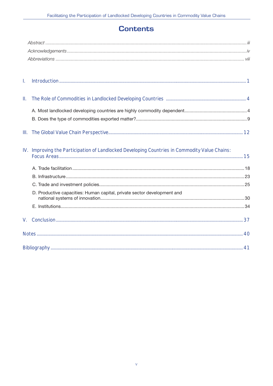## **Contents**

| I.             |                                                                                               |  |
|----------------|-----------------------------------------------------------------------------------------------|--|
| Ш.             |                                                                                               |  |
|                |                                                                                               |  |
|                |                                                                                               |  |
|                |                                                                                               |  |
|                | IV. Improving the Participation of Landlocked Developing Countries in Commodity Value Chains: |  |
|                |                                                                                               |  |
|                |                                                                                               |  |
|                |                                                                                               |  |
|                | D. Productive capacities: Human capital, private sector development and                       |  |
|                |                                                                                               |  |
| $V_{\rm{eff}}$ |                                                                                               |  |
|                |                                                                                               |  |
|                |                                                                                               |  |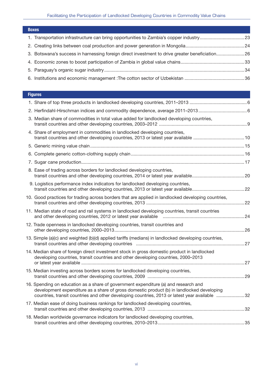| <b>Boxes</b>                                                                                   |  |
|------------------------------------------------------------------------------------------------|--|
|                                                                                                |  |
|                                                                                                |  |
| 3. Botswana's success in harnessing foreign direct investment to drive greater beneficiation26 |  |
|                                                                                                |  |
|                                                                                                |  |
|                                                                                                |  |
|                                                                                                |  |

### **Figures**

| 2. Herfindahl-Hirschman indices and commodity dependence, average 2011-2013                                                                                                                                                                                                       |  |
|-----------------------------------------------------------------------------------------------------------------------------------------------------------------------------------------------------------------------------------------------------------------------------------|--|
| 3. Median share of commodities in total value added for landlocked developing countries,                                                                                                                                                                                          |  |
| 4. Share of employment in commodities in landlocked developing countries,                                                                                                                                                                                                         |  |
|                                                                                                                                                                                                                                                                                   |  |
|                                                                                                                                                                                                                                                                                   |  |
|                                                                                                                                                                                                                                                                                   |  |
| 8. Ease of trading across borders for landlocked developing countries,                                                                                                                                                                                                            |  |
| 9. Logistics performance index indicators for landlocked developing countries,                                                                                                                                                                                                    |  |
| 10. Good practices for trading across borders that are applied in landlocked developing countries,                                                                                                                                                                                |  |
| 11. Median state of road and rail systems in landlocked developing countries, transit countries                                                                                                                                                                                   |  |
| 12. Trade openness in landlocked developing countries, transit countries and                                                                                                                                                                                                      |  |
| 13. Simple (a)(c) and weighted (b)(d) applied tariffs (medians) in landlocked developing countries,                                                                                                                                                                               |  |
| 14. Median share of foreign direct investment stock in gross domestic product in landlocked<br>developing countries, transit countries and other developing countries, 2000-2013                                                                                                  |  |
| 15. Median investing across borders scores for landlocked developing countries,                                                                                                                                                                                                   |  |
| 16. Spending on education as a share of government expenditure (a) and research and<br>development expenditure as a share of gross domestic product (b) in landlocked developing<br>countries, transit countries and other developing countries, 2013 or latest year available 32 |  |
| 17. Median ease of doing business rankings for landlocked developing countries,                                                                                                                                                                                                   |  |
| 18. Median worldwide governance indicators for landlocked developing countries,                                                                                                                                                                                                   |  |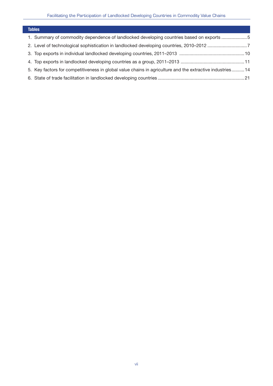| <b>Tables</b>                                                                                            |  |
|----------------------------------------------------------------------------------------------------------|--|
| 1. Summary of commodity dependence of landlocked developing countries based on exports 5                 |  |
|                                                                                                          |  |
|                                                                                                          |  |
|                                                                                                          |  |
| 5. Key factors for competitiveness in global value chains in agriculture and the extractive industries14 |  |
|                                                                                                          |  |
|                                                                                                          |  |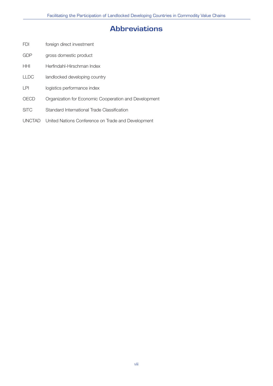## **Abbreviations**

- FDI foreign direct investment
- GDP gross domestic product
- HHI Herfindahl-Hirschman Index
- LLDC landlocked developing country
- LPI logistics performance index
- OECD Organization for Economic Cooperation and Development
- SITC Standard International Trade Classification
- UNCTAD United Nations Conference on Trade and Development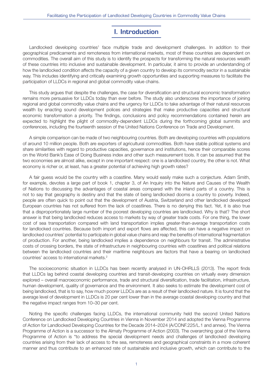## **I. Introduction**

Landlocked developing countries<sup>1</sup> face multiple trade and development challenges. In addition to their geographical predicaments and remoteness from international markets, most of these countries are dependent on commodities. The overall aim of this study is to identify the prospects for transforming the natural resources wealth of these countries into inclusive and sustainable development. In particular, it aims to provide an understanding of how the landlocked condition affects the capacity of a given country to develop its commodity sector in a sustainable way. This includes identifying and critically examining growth opportunities and supporting measures to facilitate the participation of LLDCs in regional and global commodity value chains.

This study argues that despite the challenges, the case for diversification and structural economic transformation remains more persuasive for LLDCs today than ever before. The study also underscores the importance of joining regional and global commodity value chains and the urgency for LLDCs to take advantage of their natural resources wealth by enacting sound development polices and strategies that make productive capacities and structural economic transformation a priority. The findings, conclusions and policy recommendations contained herein are expected to highlight the plight of commodity-dependent LLDCs during the forthcoming global summits and conferences, including the fourteenth session of the United Nations Conference on Trade and Development.

A simple comparison can be made of two neighbouring countries. Both are developing countries with populations of around 10 million people. Both are exporters of agricultural commodities. Both have stable political systems and share similarities with regard to productive capacities, governance and institutions, hence their comparable scores on the World Bank's Ease of Doing Business index and other such measurement tools. It can be assumed that the two economies are almost alike, except in one important respect: one is a landlocked country, the other is not. What economy is richer or, at least, has a greater potential of achieving high growth rates?

A fair guess would be the country with a coastline. Many would easily make such a conjecture. Adam Smith, for example, devotes a large part of book 1, chapter 3, of An Inquiry into the Nature and Causes of the Wealth of Nations to discussing the advantages of coastal areas compared with the inland parts of a country. This is not to say that geography is destiny and that the state of being landlocked dooms a country to poverty. Indeed, people are often quick to point out that the development of Austria, Switzerland and other landlocked developed European countries has not suffered from the lack of coastlines. There is no denying this fact. Yet, it is also true that a disproportionately large number of the poorest developing countries are landlocked. Why is that? The short answer is that being landlocked reduces access to markets by way of greater trade costs. For one thing, the lower cost of sea transportation compared with land transportation implies greater-than-average transportation costs for landlocked countries. Because both import and export flows are affected, this can have a negative impact on landlocked countries' potential to participate in global value chains and reap the benefits of international fragmentation of production. For another, being landlocked implies a dependence on neighbours for transit. The administrative costs of crossing borders, the state of infrastructure in neighbouring countries with coastlines and political relations between the landlocked countries and their maritime neighbours are factors that have a bearing on landlocked countries' access to international markets.2

The socioeconomic situation in LLDCs has been recently analysed in UN-OHRLLS (2013). The report finds that LLDCs lag behind coastal developing countries and transit-developing countries on virtually every dimension explored – overall macroeconomic performance, trade and structural diversification, trade facilitation, infrastructure, human development, quality of governance and the environment. It also seeks to estimate the development cost of being landlocked, that is to say, how much poorer LLDCs are as a result of their landlocked nature. It is found that the average level of development in LLDCs is 20 per cent lower than in the average coastal developing country and that the negative impact ranges from 10–30 per cent.

Noting the specific challenges facing LLDCs, the international community held the second United Nations Conference on Landlocked Developing Countries in Vienna in November 2014 and adopted the Vienna Programme of Action for Landlocked Developing Countries for the Decade 2014–2024 (A/CONF.225/L.1 and annex). The Vienna Programme of Action is a successor to the Almaty Programme of Action (2003). The overarching goal of the Vienna Programme of Action is "to address the special development needs and challenges of landlocked developing countries arising from their lack of access to the sea, remoteness and geographical constraints in a more coherent manner and thus contribute to an enhanced rate of sustainable and inclusive growth, which can contribute to the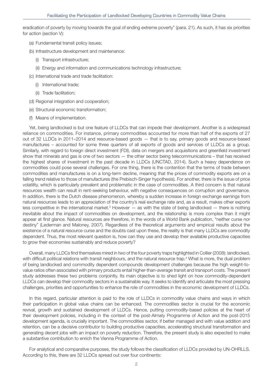eradication of poverty by moving towards the goal of ending extreme poverty" (para. 21). As such, it has six priorities for action (section V):

- (a) Fundamental transit policy issues;
- (b) Infrastructure development and maintenance:
	- (i) Transport infrastructure;
	- (ii) Energy and information and communications technology infrastructure;
- (c) International trade and trade facilitation:
	- (i) International trade;
	- (ii) Trade facilitation;
- (d) Regional integration and cooperation;
- (e) Structural economic transformation;
- (f) Means of implementation.

Yet, being landlocked is but one feature of LLDCs that can impede their development. Another is a widespread reliance on commodities. For instance, primary commodities accounted for more than half of the exports of 27 out of 32 LLDCs in 2011–2014 and resource-based goods — that is to say, primary goods and resource-based manufactures – accounted for some three quarters of all exports of goods and services of LLDCs as a group. Similarly, with regard to foreign direct investment (FDI), data on mergers and acquisitions and greenfield investment show that minerals and gas is one of two sectors — the other sector being telecommunications – that has received the highest shares of investment in the past decade in LLDCs (UNCTAD, 2014). Such a heavy dependence on commodities could pose several challenges. For one thing, there is the contention that the terms of trade between commodities and manufactures is on a long-term decline, meaning that the prices of commodity exports are on a falling trend relative to those of manufactures (the Prebisch-Singer hypothesis). For another, there is the issue of price volatility, which is particularly prevalent and problematic in the case of commodities. A third concern is that natural resources wealth can result in rent-seeking behaviour, with negative consequences on corruption and governance. In addition, there is the Dutch disease phenomenon, whereby a sudden increase in foreign exchange earnings from natural resources leads to an appreciation of the country's real exchange rate and, as a result, makes other exports less competitive in the international market.<sup>3</sup> However — as with the state of being landlocked — there is nothing inevitable about the impact of commodities on development, and the relationship is more complex than it might appear at first glance. Natural resources are therefore, in the words of a World Bank publication, "neither curse nor destiny" (Lederman and Maloney, 2007). Regardless of the theoretical arguments and empirical results about the existence of a natural resource curse and the doubts cast upon these, the reality is that many LLDCs are commodity dependent. Thus, the most relevant question is, how can they use and develop their available productive capacities to grow their economies sustainably and reduce poverty?

Overall, many LLDCs find themselves mired in two of the four poverty traps highlighted in Collier (2008): landlocked, with difficult political relations with transit neighbours, and the natural resource trap.<sup>4</sup> What is more, the dual problem of being landlocked and commodity dependent compounds development challenges because the high weight-tovalue ratios often associated with primary products entail higher-than-average transit and transport costs. The present study addresses these two problems conjointly. Its main objective is to shed light on how commodity-dependent LLDCs can develop their commodity sectors in a sustainable way. It seeks to identify and articulate the most pressing challenges, priorities and opportunities to enhance the role of commodities in the economic development of LLDCs.

In this regard, particular attention is paid to the role of LLDCs in commodity value chains and ways in which their participation in global value chains can be enhanced. The commodities sector is crucial for the economic revival, growth and sustained development of LLDCs. Hence, putting commodity-based policies at the heart of their development policies, including in the context of the post-Almaty Programme of Action and the post-2015 development agenda, is crucially important. The commodities sector, if better managed and with value addition and retention, can be a decisive contributor to building productive capacities, accelerating structural transformation and generating decent jobs with an impact on poverty reduction. Therefore, the present study is also expected to make a substantive contribution to enrich the Vienna Programme of Action.

For analytical and comparative purposes, the study follows the classification of LLDCs provided by UN-OHRLLS. According to this, there are 32 LLDCs spread out over four continents: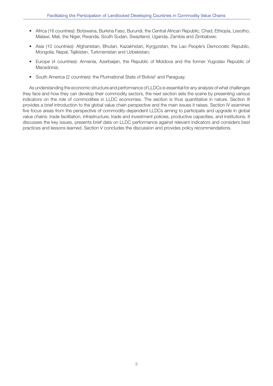- Africa (16 countries): Botswana, Burkina Faso, Burundi, the Central African Republic, Chad, Ethiopia, Lesotho, Malawi, Mali, the Niger, Rwanda, South Sudan, Swaziland, Uganda, Zambia and Zimbabwe;
- Asia (10 countries): Afghanistan, Bhutan, Kazakhstan, Kyrgyzstan, the Lao People's Democratic Republic, Mongolia, Nepal, Tajikistan, Turkmenistan and Uzbekistan;
- Europe (4 countries): Armenia, Azerbaijan, the Republic of Moldova and the former Yugoslav Republic of Macedonia;
- South America (2 countries): the Plurinational State of Bolivia<sup>5</sup> and Paraguay.

As understanding the economic structure and performance of LLDCs is essential for any analysis of what challenges they face and how they can develop their commodity sectors, the next section sets the scene by presenting various indicators on the role of commodities in LLDC economies. The section is thus quantitative in nature. Section III provides a brief introduction to the global value chain perspective and the main issues it raises. Section IV examines five focus areas from the perspective of commodity-dependent LLDCs aiming to participate and upgrade in global value chains: trade facilitation, infrastructure, trade and investment policies, productive capacities, and institutions. It discusses the key issues, presents brief data on LLDC performance against relevant indicators and considers best practices and lessons learned. Section V concludes the discussion and provides policy recommendations.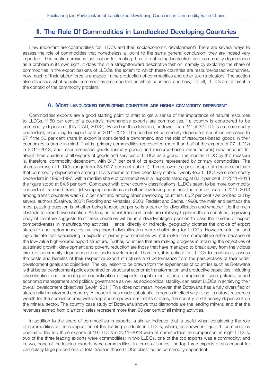### **II. The Role Of Commodities in Landlocked Developing Countries**

How important are commodities for LLDCs and their socioeconomic development? There are several ways to assess the role of commodities that nonetheless all point to the same general conclusion: they are indeed very important. This section provides justification for treating the state of being landlocked and commodity dependence as a problem in its own right. It does this in a straightforward descriptive fashion, namely by exploring the share of commodities in the export baskets of LLDCs, the extent to which these countries are resource-based economies, how much of their labour force is engaged in the production of commodities and other such indicators. The section also discusses what specific commodities are important, in which countries, and how, if at all, LLDCs are different in the context of the commodity problem.

#### **A. MOST LANDLOCKED DEVELOPING COUNTRIES ARE HIGHLY COMMODITY DEPENDENT**

Commodities exports are a good starting point to start to get a sense of the importance of natural resources to LLDCs. If 60 per cent of a country's merchandise exports are commodities, <sup>6</sup> a country is considered to be commodity dependent (UNCTAD, 2013a). Based on this definition, no fewer than 247 of 32 LLDCs are commodity dependent, according to export data in 2011–2013. The number of commodity-dependent countries increases to 27 if the 50 per cent share in export is considered a benchmark, and the role of resources-based goods in their economies is borne in mind. That is, primary commodities represented more than half of the exports of 27 LLDCs in 2011–2013, and resource-based goods (primary goods and resource-based manufactures) now account for about three quarters of all exports of goods and services of LLDCs as a group. The median LLDC by this measure is, therefore, commodity dependent, with 84.7 per cent of its exports represented by primary commodities. The shares across all LLDCs range from 28–97.7 per cent (table 1). Trends over the past couple of decades indicate that commodity dependence among LLDCs seems to have been fairly stable. Twenty-four LLDCs were commodity dependent in 1995–1997, with a median share of commodities in all exports standing at 83.2 per cent. In 2011–2013 the figure stood at 84.5 per cent. Compared with other country classifications, LLDCs seem to be more commodity dependent than both transit (developing) countries and other developing countries: the median share in 2011–2013 among transit countries was 76.7 per cent and among other developing countries, 66.2 per cent.<sup>8</sup> As pointed out by several authors (Osakwe, 2007; Redding and Venables, 2003; Radelet and Sachs, 1998), the main and perhaps the most puzzling question is whether being landlocked per se is a barrier for diversification and whether it is the main obstacle to export diversification. As long as transit transport costs are relatively higher in those countries, a growing body of literature suggests that these countries will be in a disadvantaged position to pass the hurdles of export competitiveness in manufacturing activities. Hence, directly or indirectly, geography dictates the choice of export structure and performance by making export diversification more challenging for LLDCs. However, intuition and logic dictate that specializing in exports of primary commodities will not make them competitive either because of the low-value high-volume export structure. Further, countries that are making progress in attaining the objectives of sustained growth, development and poverty reduction are those that have managed to break away from the vicious circle of commodity dependence and underdevelopment. Therefore, it is critical for LLDCs to continually assess the costs and benefits of their respective export structures and performance from the perspectives of their wider development goals and objectives. The key lesson to be drawn from the experiences of countries such as Botswana is that better development policies centred on structural economic transformation and productive capacities, including diversification and technological sophistication of exports, capable institutions to implement such policies, sound economic management and political governance as well as sociopolitical stability, can assist LLDCs in achieving their overall development objectives (Lewin, 2011) This does not mean, however, that Botswana has a fully diversified or structurally transformed economy. Although it has made substantial progress in effectively using its natural resources wealth for the socioeconomic well-being and empowerment of its citizens, the country is still heavily dependent on the mineral sector. The country case study of Botswana shows that diamonds are the leading mineral and that the revenues earned from diamond sales represent more than 90 per cent of all mining activities.

In addition to the share of commodities in exports, a similar indicator that is useful when considering the role of commodities is the composition of the leading products in LLDCs, where, as shown in figure 1, commodities dominate: the top three exports of 19 LLDCs in 2011–2013 were all commodities. In comparison, in eight LLDCs, two of the three leading exports were commodities; in two LLDCs, one of the top exports was a commodity; and in two, none of the leading exports were commodities. In terms of shares, the top three exports often account for particularly large proportions of total trade in those LLDCs classified as commodity dependent.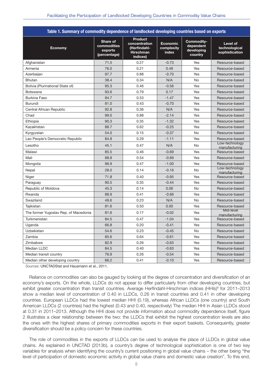| Table 1. Summary of commodity dependence of landlocked developing countries based on exports |                                                    |                                                                                 |                                 |                                                  |                                             |  |  |
|----------------------------------------------------------------------------------------------|----------------------------------------------------|---------------------------------------------------------------------------------|---------------------------------|--------------------------------------------------|---------------------------------------------|--|--|
| <b>Economy</b>                                                                               | Share of<br>commodities<br>exports<br>(percentage) | <b>Product</b><br>concentration<br>(Herfindahl-<br><b>Hirschman</b><br>indices) | Economic<br>complexity<br>index | Commodity-<br>dependent<br>developing<br>country | Level of<br>technological<br>sophistication |  |  |
| Afghanistan                                                                                  | 71.5                                               | 0.27                                                                            | $-0.73$                         | Yes                                              | Resource-based                              |  |  |
| Armenia                                                                                      | 76.0                                               | 0.21                                                                            | 0.49                            | Yes                                              | Resource-based                              |  |  |
| Azerbaijan                                                                                   | 97.7                                               | 0.88                                                                            | $-0.70$                         | Yes                                              | Resource-based                              |  |  |
| <b>Bhutan</b>                                                                                | 38.4                                               | 0.34                                                                            | N/A                             | No                                               | Resource-based                              |  |  |
| Bolivia (Plurinational State of)                                                             | 95.3                                               | 0.46                                                                            | $-0.56$                         | Yes                                              | Resource-based                              |  |  |
| Botswana                                                                                     | 93.6                                               | 0.79                                                                            | 0.17                            | Yes                                              | Resource-based                              |  |  |
| Burkina Faso                                                                                 | 94.7                                               | 0.53                                                                            | $-1.47$                         | Yes                                              | Resource-based                              |  |  |
| <b>Burundi</b>                                                                               | 81.0                                               | 0.43                                                                            | $-0.70$                         | Yes                                              | Resource-based                              |  |  |
| Central African Republic                                                                     | 92.8                                               | 0.36                                                                            | N/A                             | Yes                                              | Resource-based                              |  |  |
| Chad                                                                                         | 99.0                                               | 0.88                                                                            | $-2.14$                         | Yes                                              | Resource-based                              |  |  |
| Ethiopia                                                                                     | 90.3                                               | 0.35                                                                            | $-1.32$                         | Yes                                              | Resource-based                              |  |  |
| Kazakhstan                                                                                   | 88.7                                               | 0.62                                                                            | $-0.25$                         | Yes                                              | Resource-based                              |  |  |
| Kyrgyzstan                                                                                   | 54.0                                               | 0.15                                                                            | $-0.37$                         | <b>No</b>                                        | Resource-based                              |  |  |
| Lao People's Democratic Republic                                                             | 84.8                                               | 0.29                                                                            | $-1.11$                         | Yes                                              | Resource-based                              |  |  |
| Lesotho                                                                                      | 45.1                                               | 0.47                                                                            | N/A                             | No                                               | Low-technology<br>manufacturing             |  |  |
| Malawi                                                                                       | 85.5                                               | 0.46                                                                            | $-0.69$                         | Yes                                              | Resource-based                              |  |  |
| Mali                                                                                         | 88.8                                               | 0.54                                                                            | $-0.69$                         | Yes                                              | Resource-based                              |  |  |
| Mongolia                                                                                     | 96.9                                               | 0.47                                                                            | $-1.00$                         | Yes                                              | Resource-based                              |  |  |
| Nepal                                                                                        | 28.0                                               | 0.14                                                                            | $-0.16$                         | No                                               | Low-technology<br>manufacturing             |  |  |
| Niger                                                                                        | 71.8                                               | 0.40                                                                            | $-0.95$                         | Yes                                              | Resource-based                              |  |  |
| Paraguay                                                                                     | 90.5                                               | 0.35                                                                            | $-0.44$                         | Yes                                              | Resource-based                              |  |  |
| Republic of Moldova                                                                          | 45.3                                               | 0.14                                                                            | 0.06                            | <b>No</b>                                        | Resource-based                              |  |  |
| Rwanda                                                                                       | 88.9                                               | 0.41                                                                            | $-0.66$                         | Yes                                              | Resource-based                              |  |  |
| Swaziland                                                                                    | 49.6                                               | 0.23                                                                            | N/A                             | <b>No</b>                                        | Resource-based                              |  |  |
| Tajikistan                                                                                   | 81.6                                               | 0.50                                                                            | 0.00                            | Yes                                              | Resource-based                              |  |  |
| The former Yugoslav Rep. of Macedonia                                                        | 81.6                                               | 0.17                                                                            | $-0.02$                         | Yes                                              | Mid-level<br>manufacturing                  |  |  |
| Turkmenistan                                                                                 | 84.5                                               | 0.47                                                                            | $-1.04$                         | Yes                                              | Resource-based                              |  |  |
| Uganda                                                                                       | 66.8                                               | 0.20                                                                            | $-0.41$                         | Yes                                              | Resource-based                              |  |  |
| <b>Uzbekistan</b>                                                                            | 54.6                                               | 0.23                                                                            | $-0.45$                         | No                                               | Resource-based                              |  |  |
| Zambia                                                                                       | 85.6                                               | 0.64                                                                            | $-0.61$                         | Yes                                              | Resource-based                              |  |  |
| Zimbabwe                                                                                     | 82.9                                               | 0.26                                                                            | $-0.63$                         | Yes                                              | Resource-based                              |  |  |
| Median LLDC                                                                                  | 84.5                                               | 0.40                                                                            | $-0.63$                         | Yes                                              | Resource-based                              |  |  |
| Median transit country                                                                       | 76.9                                               | 0.26                                                                            | $-0.54$                         | Yes                                              | Resource-based                              |  |  |
| Median other developing country                                                              | 66.2                                               | 0.41                                                                            | $-0.10$                         | Yes                                              | Resource-based                              |  |  |

Sources: UNCTADStat and Hausmann et al., 2011.

Reliance on commodities can also be gauged by looking at the degree of concentration and diversification of an economy's exports. On the whole, LLDCs do not appear to differ particularly from other developing countries, but exhibit greater concentration than transit countries. Average Herfindahl-Hirschman indices (HHIs)<sup>9</sup> for 2011–2013 show a median level of concentration of 0.40 in LLDCs, 0.26 in transit countries and 0.41 in other developing countries. European LLDCs had the lowest median HHI (0.19), whereas African LLDCs (one country) and South American LLDCs (2 countries) had the highest (0.43 and 0.40, respectively) The median HHI in Asian LLDCs stood at 0.31 in 2011–2013. Although the HHI does not provide information about commodity dependence itself, figure 2 illustrates a clear relationship between the two: the LLDCs that exhibit the highest concentration levels are also the ones with the highest shares of primary commodities exports in their export baskets. Consequently, greater diversification should be a policy concern for these countries.

The role of commodities in the exports of LLDCs can be used to analyse the place of LLDCs in global value chains. As explained in UNCTAD (2013b), a country's degree of technological sophistication is one of two key variables for analysis when identifying the country's current positioning in global value chains – the other being "the level of participation of domestic economic activity in global value chains and domestic value creation". To this end,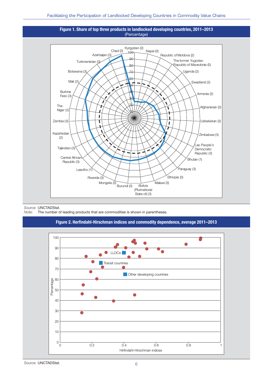



Source: UNCTADStat.

Note: The number of leading products that are commodities is shown in parentheses.



Source: UNCTADStat.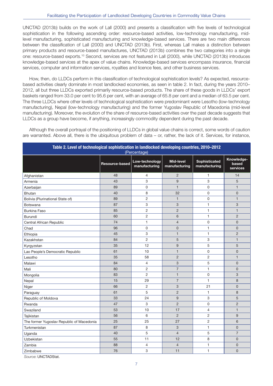UNCTAD (2013b) builds on the work of Lall (2000) and presents a classification with five levels of technological sophistication in the following ascending order: resource-based activities, low-technology manufacturing, midlevel manufacturing, sophisticated manufacturing and knowledge-based services. There are two main differences between the classification of Lall (2000) and UNCTAD (2013b). First, whereas Lall makes a distinction between primary products and resource-based manufactures, UNCTAD (2013b) combines the two categories into a single one: resource-based exports.10 Second, services are not featured in Lall (2000), while UNCTAD (2013b) introduces knowledge-based services at the apex of value chains. Knowledge-based services encompass insurance, financial services, computer and information services, royalties and licence fees, and other business services.

How, then, do LLDCs perform in this classification of technological sophistication levels? As expected, resourcebased activities clearly dominate in most landlocked economies, as seen in table 2. In fact, during the years 2010– 2012, all but three LLDCs exported primarily resource-based products. The share of these goods in LLDCs' export baskets ranged from 33.0 per cent to 95.6 per cent, with an average of 65.8 per cent and a median of 63.5 per cent. The three LLDCs where other levels of technological sophistication were predominant were Lesotho (low-technology manufacturing), Nepal (low-technology manufacturing) and the former Yugoslav Republic of Macedonia (mid-level manufacturing). Moreover, the evolution of the share of resource-based activities over the past decade suggests that LLDCs as a group have become, if anything, increasingly commodity dependent during the past decade.

Although the overall portrayal of the positioning of LLDCs in global value chains is correct, some words of caution are warranted. Above all, there is the ubiquitous problem of data – or, rather, the lack of it. Services, for instance,

| Table 2. Level of technological sophistication in landlocked developing countries, 2010-2012<br>(Percentage) |                |                                 |                            |                                |                                 |  |  |
|--------------------------------------------------------------------------------------------------------------|----------------|---------------------------------|----------------------------|--------------------------------|---------------------------------|--|--|
|                                                                                                              | Resource-based | Low-technology<br>manufacturing | Mid-level<br>manufacturing | Sophisticated<br>manufacturing | Knowledge-<br>based<br>services |  |  |
| Afghanistan                                                                                                  | 48             | $\overline{4}$                  | $\overline{2}$             | 1                              | 14                              |  |  |
| Armenia                                                                                                      | 43             | 3                               | 9                          | 3                              | 5                               |  |  |
| Azerbaijan                                                                                                   | 89             | 0                               | $\mathbf{1}$               | 0                              | $\mathbf{1}$                    |  |  |
| <b>Bhutan</b>                                                                                                | 40             | 8                               | 32                         | 0                              | $\mathbf 0$                     |  |  |
| Bolivia (Plurinational State of)                                                                             | 89             | $\overline{2}$                  | $\mathbf{1}$               | 0                              | $\mathbf{1}$                    |  |  |
| Botswana                                                                                                     | 87             | 3                               | 3                          | 1                              | 3                               |  |  |
| <b>Burkina Faso</b>                                                                                          | 85             | $\overline{2}$                  | $\overline{2}$             | 1                              | $\mathbf{1}$                    |  |  |
| Burundi                                                                                                      | 60             | $\overline{c}$                  | 6                          | 1                              | $\overline{c}$                  |  |  |
| Central African Republic                                                                                     | 74             | 1                               | $\overline{4}$             | 0                              | $\mathbf 0$                     |  |  |
| Chad                                                                                                         | 96             | 0                               | $\overline{0}$             | 1                              | $\mathbf{0}$                    |  |  |
| Ethiopia                                                                                                     | 45             | 3                               | $\mathbf{1}$               | $\mathbf{1}$                   | $\overline{2}$                  |  |  |
| Kazakhstan                                                                                                   | 84             | 2                               | 5                          | 3                              | $\mathbf{1}$                    |  |  |
| Kyrgyzstan                                                                                                   | 35             | 12                              | 9                          | 5                              | 5                               |  |  |
| Lao People's Democratic Republic                                                                             | 61             | 10                              | $\mathbf{1}$               | 0                              | $\mathsf 0$                     |  |  |
| Lesotho                                                                                                      | 35             | 58                              | $\overline{2}$             | 2                              | $\mathbf{1}$                    |  |  |
| Malawi                                                                                                       | 84             | 4                               | 3                          | 5                              | $\mathbf{0}$                    |  |  |
| Mali                                                                                                         | 80             | 2                               | $\overline{7}$             | $\mathbf{1}$                   | $\mathbf{0}$                    |  |  |
| Mongolia                                                                                                     | 83             | $\overline{2}$                  | $\mathbf{1}$               | 0                              | 3                               |  |  |
| Nepal                                                                                                        | 15             | 29                              | $\overline{7}$             | $\mathbf{1}$                   | 8                               |  |  |
| Niger                                                                                                        | 66             | $\overline{2}$                  | 3                          | 21                             | $\overline{0}$                  |  |  |
| Paraguay                                                                                                     | 61             | 5                               | $\overline{2}$             | $\mathbf{1}$                   | 8                               |  |  |
| Republic of Moldova                                                                                          | 33             | 24                              | 9                          | 3                              | 5                               |  |  |
| Rwanda                                                                                                       | 47             | 3                               | $\overline{2}$             | 0                              | $\overline{c}$                  |  |  |
| Swaziland                                                                                                    | 53             | 10                              | 17                         | $\overline{4}$                 | $\mathbf{1}$                    |  |  |
| Tajikistan                                                                                                   | 56             | 6                               | $\overline{2}$             | 2                              | 9                               |  |  |
| The former Yugoslav Republic of Macedonia                                                                    | 25             | 25                              | 27                         | 2                              | 6                               |  |  |
| Turkmenistan                                                                                                 | 87             | 8                               | 3                          | 1                              | $\mathbf{0}$                    |  |  |
| Uganda                                                                                                       | 40             | 5                               | $\overline{4}$             | 5                              | $\overline{7}$                  |  |  |
| <b>Uzbekistan</b>                                                                                            | 55             | 11                              | 12                         | 8                              | $\mathsf 0$                     |  |  |
| Zambia                                                                                                       | 88             | 4                               | $\overline{4}$             | $\mathbf{1}$                   | $\overline{0}$                  |  |  |
| Zimbabwe                                                                                                     | 76             | 3                               | 11                         | $\mathbf{1}$                   | $\mathsf{O}$                    |  |  |

Source: UNCTADStat.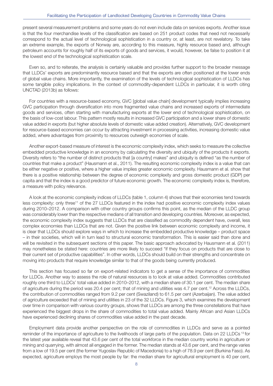present several measurement problems and some years do not even include data on services exports. Another issue is that the four merchandise levels of the classification are based on 251 product codes that need not necessarily correspond to the actual level of technological sophistication in a country or, at least, are not revelatory. To take an extreme example, the exports of Norway are, according to this measure, highly resource based and, although petroleum accounts for roughly half of its exports of goods and services, it would, however, be false to position it at the lowest end of the technological sophistication scale.

Even so, and to reiterate, the analysis is certainly valuable and provides further support to the broader message that LLDCs' exports are predominantly resource based and that the exports are often positioned at the lower ends of global value chains. More importantly, the examination of the levels of technological sophistication of LLDCs has some tangible policy implications. In the context of commodity-dependent LLDCs in particular, it is worth citing UNCTAD (2013b) as follows:

For countries with a resource-based economy, GVC [global value chain] development typically implies increasing GVC participation through diversification into more fragmented value chains and increased exports of intermediate goods and services, often starting with manufacturing exports at the lower end of technological sophistication, on the basis of low-cost labour. This pattern mostly results in increased GVC participation and a lower share of domestic value added in exports (but higher absolute levels of domestic value added creation). Alternatively, GVC development for resource-based economies can occur by attracting investment in processing activities, increasing domestic value added, where advantages from proximity to resources outweigh economies of scale.

Another export-based measure of interest is the economic complexity index, which seeks to measure the collective embedded productive knowledge in an economy by calculating the diversity and ubiquity of the products it exports. Diversity refers to "the number of distinct products that [a country] makes" and ubiquity is defined "as the number of countries that make a product" (Hausmann et al., 2011). The resulting economic complexity index is a value that can be either negative or positive, where a higher value implies greater economic complexity. Hausmann et al. show that there is a positive relationship between the degree of economic complexity and gross domestic product (GDP) per capita and that the index is a good predictor of future economic growth. The economic complexity index is, therefore, a measure with policy relevance.

A look at the economic complexity indices of LLDCs (table 1, column 4) shows that their economies tend towards less complexity: only three<sup>11</sup> of the 27 LLDCs featured in the index had positive economic complexity index values during 2010–2012. A comparison with other country groups confirms this point, as the median of the LLDC group was considerably lower than the respective medians of all transition and developing countries. Moreover, as expected, the economic complexity index suggests that LLDCs that are classified as commodity dependent have, overall, less complex economies than LLDCs that are not. Given the positive link between economic complexity and income, it is clear that LLDCs should explore ways in which to increase the embedded productive knowledge – product space – in their societies, which will in turn lead to structural economic transformation. This is easier said than done and will be revisited in the subsequent sections of this paper. The basic approach advocated by Hausmann et al. (2011) may nonetheless be stated here: countries are more likely to succeed "if they focus on products that are close to their current set of productive capabilities". In other words, LLDCs should build on their strengths and concentrate on moving into products that require knowledge similar to that of the goods being currently produced.

This section has focused so far on export-related indicators to get a sense of the importance of commodities for LLDCs. Another way to assess the role of natural resources is to look at value added. Commodities contributed roughly one third to LLDCs' total value added in 2010–2012, with a median share of 30.1 per cent. The median share of agriculture during the period was 20.4 per cent; that of mining and utilities was 4.7 per cent.12 Across the LLDCs, the contribution of commodities ranged from 9.2 per cent (Swaziland) to 61.5 per cent (Azerbaijan). The value added of agriculture exceeded that of mining and utilities in 23 of the 32 LLDCs. Figure 3, which examines the development over time in comparison with various country groups, shows that LLDCs are among the three constellations that have experienced the biggest drops in the share of commodities to total value added. Mainly African and Asian LLDCs have experienced declining shares of commodities value added in the past decade.

Employment data provide another perspective on the role of commodities in LLDCs and serve as a pointed reminder of the importance of agriculture to the livelihoods of large parts of the population. Data on 22 LLDCs<sup>13</sup> for the latest year available reveal that 43.6 per cent of the total workforce in the median country works in agriculture or mining and quarrying, with almost all engaged in the former. The median stands at 43.6 per cent, and the range varies from a low of 19.5 per cent (the former Yugoslav Republic of Macedonia) to a high of 78.9 per cent (Burkina Faso). As expected, agriculture employs the most people by far: the median share for agricultural employment is 40 per cent,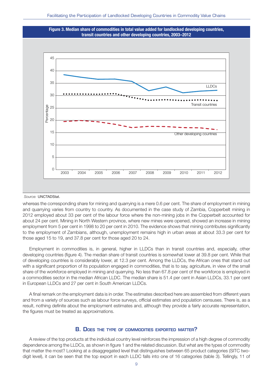



Source: UNCTADStat.

whereas the corresponding share for mining and quarrying is a mere 0.6 per cent. The share of employment in mining and quarrying varies from country to country. As documented in the case study of Zambia, Copperbelt mining in 2012 employed about 33 per cent of the labour force where the non-mining jobs in the Copperbelt accounted for about 24 per cent. Mining in North Western province, where new mines were opened, showed an increase in mining employment from 5 per cent in 1998 to 20 per cent in 2010. The evidence shows that mining contributes significantly to the employment of Zambians, although, unemployment remains high in urban areas at about 33.3 per cent for those aged 15 to 19, and 37.8 per cent for those aged 20 to 24.

Employment in commodities is, in general, higher in LLDCs than in transit countries and, especially, other developing countries (figure 4). The median share of transit countries is somewhat lower at 39.8 per cent. While that of developing countries is considerably lower, at 12.3 per cent. Among the LLDCs, the African ones that stand out with a significant proportion of its population engaged in commodities, that is to say, agriculture, in view of the small share of the workforce employed in mining and quarrying. No less than 67.8 per cent of the workforce is employed in a commodities sector in the median African LLDC. The median share is 51.4 per cent in Asian LLDCs, 33.1 per cent in European LLDCs and 27 per cent in South American LLDCs.

A final remark on the employment data is in order. The estimates described here are assembled from different years and from a variety of sources such as labour force surveys, official estimates and population censuses. There is, as a result, nothing definite about the employment estimates and, although they provide a fairly accurate representation, the figures must be treated as approximations.

#### **B. DOES THE TYPE OF COMMODITIES EXPORTED MATTER?**

A review of the top products at the individual country level reinforces the impression of a high degree of commodity dependence among the LLDCs, as shown in figure 1 and the related discussion. But what are the types of commodity that matter the most? Looking at a disaggregated level that distinguishes between 65 product categories (SITC twodigit level), it can be seen that the top export in each LLDC falls into one of 16 categories (table 3). Tellingly, 11 of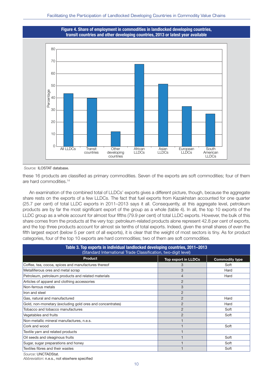

Source: ILOSTAT database.

these 16 products are classified as primary commodities. Seven of the exports are soft commodities; four of them are hard commodities.14

An examination of the combined total of LLDCs' exports gives a different picture, though, because the aggregate share rests on the exports of a few LLDCs. The fact that fuel exports from Kazakhstan accounted for one quarter (25.7 per cent) of total LLDC exports in 2011–2013 says it all. Consequently, at this aggregate level, petroleum products are by far the most significant export of the group as a whole (table 4). In all, the top 10 exports of the LLDC group as a whole account for almost four fifths (79.9 per cent) of total LLDC exports. However, the bulk of this share comes from the products at the very top: petroleum-related products alone represent 42.8 per cent of exports, and the top three products account for almost six tenths of total exports. Indeed, given the small shares of even the fifth largest export (below 5 per cent of all exports), it is clear that the weight of most sectors is tiny. As for product categories, four of the top 10 exports are hard commodities; two of them are soft commodities.

| Table 3. Top exports in individual landlocked developing countries, 2011–2013<br>(Standard International Trade Classification, two-digit level) |                |      |  |  |  |
|-------------------------------------------------------------------------------------------------------------------------------------------------|----------------|------|--|--|--|
| <b>Product</b><br><b>Top export in LLDCs</b><br><b>Commodity type</b>                                                                           |                |      |  |  |  |
| Coffee, tea, cocoa, spices and manufactures thereof                                                                                             | 3              | Soft |  |  |  |
| Metalliferous ores and metal scrap                                                                                                              | 3              | Hard |  |  |  |
| Petroleum, petroleum products and related materials                                                                                             | 4              | Hard |  |  |  |
| Articles of apparel and clothing accessories                                                                                                    | $\overline{2}$ |      |  |  |  |
| Non-ferrous metals                                                                                                                              | 3              |      |  |  |  |
| Iron and steel                                                                                                                                  | $\overline{2}$ |      |  |  |  |
| Gas, natural and manufactured                                                                                                                   | $\overline{2}$ | Hard |  |  |  |
| Gold, non-monetary (excluding gold ores and concentrates)                                                                                       | $\overline{2}$ | Hard |  |  |  |
| Tobacco and tobacco manufactures                                                                                                                | $\overline{2}$ | Soft |  |  |  |
| Vegetables and fruits                                                                                                                           | $\overline{2}$ | Soft |  |  |  |
| Non-metallic mineral manufactures, n.e.s.                                                                                                       |                |      |  |  |  |
| Cork and wood                                                                                                                                   |                | Soft |  |  |  |
| Textile yarn and related products                                                                                                               |                |      |  |  |  |
| Oil seeds and oleaginous fruits                                                                                                                 |                | Soft |  |  |  |
| Sugar, sugar preparations and honey                                                                                                             |                | Soft |  |  |  |
| Textiles fibres and their wastes                                                                                                                |                | Soft |  |  |  |
| $C_{\text{OUTOO}}$ I INICTADC+ $\rightarrow$                                                                                                    |                |      |  |  |  |

Source: **UNCTADStat.** 

Abbreviation: n.e.s., not elswhere specified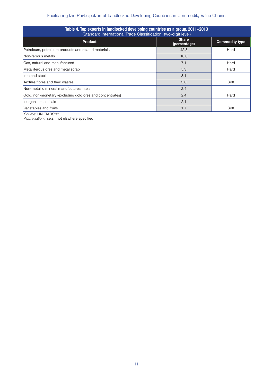| Table 4. Top exports in landlocked developing countries as a group, 2011–2013<br>(Standard International Trade Classification, two-digit level) |                              |                       |  |  |  |
|-------------------------------------------------------------------------------------------------------------------------------------------------|------------------------------|-----------------------|--|--|--|
| <b>Product</b>                                                                                                                                  | <b>Share</b><br>(percentage) | <b>Commodity type</b> |  |  |  |
| Petroleum, petroleum products and related materials                                                                                             | 42.8                         | Hard                  |  |  |  |
| Non-ferrous metals                                                                                                                              | 10.0                         |                       |  |  |  |
| Gas, natural and manufactured                                                                                                                   | 7.1                          | Hard                  |  |  |  |
| Metalliferous ores and metal scrap                                                                                                              | 5.3                          | Hard                  |  |  |  |
| Iron and steel                                                                                                                                  | 3.1                          |                       |  |  |  |
| Textiles fibres and their wastes                                                                                                                | 3.0                          | Soft                  |  |  |  |
| Non-metallic mineral manufactures, n.e.s.                                                                                                       | 2.4                          |                       |  |  |  |
| Gold, non-monetary (excluding gold ores and concentrates)                                                                                       | 2.4                          | Hard                  |  |  |  |
| Inorganic chemicals                                                                                                                             | 2.1                          |                       |  |  |  |
| Vegetables and fruits                                                                                                                           | 1.7                          | Soft                  |  |  |  |

Source: UNCTADStat.

Abbreviation: n.e.s., not elswhere specified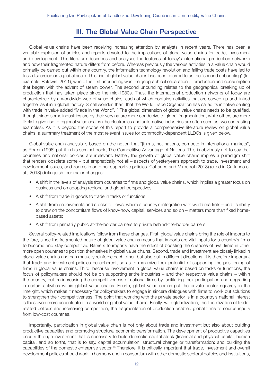### **III. The Global Value Chain Perspective**

Global value chains have been receiving increasing attention by analysts in recent years. There has been a veritable explosion of articles and reports devoted to the implications of global value chains for trade, investment and development. This literature describes and analyses the features of today's international production networks and how their fragmented nature differs from before. Whereas previously the various activities in a value chain would primarily be carried out within one country, the information technology revolution and falling trade costs have led to task dispersion on a global scale. This rise of global value chains has been referred to as the "second unbundling" (for example, Baldwin, 2011), where the first unbundling was the geographical separation of production and consumption that began with the advent of steam power. The second unbundling relates to the geographical breaking up of production that has taken place since the mid-1980s. Thus, the international production networks of today are characterized by a worldwide web of value chains, each of which contains activities that are carved up and linked together as if in a global factory. Small wonder, then, that the World Trade Organization has called its initiative dealing with trade in value added "Made in the World".<sup>15</sup> The global dimension of global value chains needs to be qualified, though, since some industries are by their very nature more conducive to global fragmentation, while others are more likely to give rise to regional value chains (the electronics and automotive industries are often seen as two contrasting examples). As it is beyond the scope of this report to provide a comprehensive literature review on global value chains, a summary treatment of the most relevant issues for commodity-dependent LLDCs is given below.

Global value chain analysis is based on the notion that "[f]irms, not nations, compete in international markets", as Porter (1998) put it in his seminal book, The Competitive Advantage of Nations. This is obviously not to say that countries and national policies are irrelevant. Rather, the growth of global value chains implies a paradigm shift that renders obsolete some – but emphatically not all – aspects of yesteryear's approach to trade, investment and development issues, and zooms in on other supportive policies. Cattaneo and Miroudot (2013) (cited in Cattaneo et al., 2013) distinguish four major changes:

- A shift in the levels of analysis from countries to firms and global value chains, which implies a greater focus on business and on adopting regional and global perspectives;
- A shift from trade in goods to trade in tasks or functions;
- A shift from endowments and stocks to flows, where a country's integration with world markets and its ability to draw on the concomitant flows of know-how, capital, services and so on – matters more than fixed homebased assets;
- A shift from primarily public at-the-border barriers to private behind-the-border barriers.

Several policy-related implications follow from these changes. First, global value chains bring the role of imports to the fore, since the fragmented nature of global value chains means that imports are vital inputs for a country's firms to become and stay competitive. Barriers to imports have the effect of boosting the chances of rival firms in other more open countries to position themselves in global value chains. Second, trade and investment are closely linked in global value chains and can mutually reinforce each other, but also pull in different directions. It is therefore important that trade and investment policies be coherent, so as to maximize their potential of supporting the positioning of firms in global value chains. Third, because involvement in global value chains is based on tasks or functions, the focus of policymakers should not be on supporting entire industries – and their respective value chains – within the country, but on increasing the competitiveness of national firms by facilitating their participation and upgrading in certain activities within global value chains. Fourth, global value chains put the private sector squarely in the limelight, which makes it necessary for policymakers to engage in sincere dialogues with firms to work out solutions to strengthen their competitiveness. The point that working with the private sector is in a country's national interest is thus even more accentuated in a world of global value chains. Finally, with globalization, the liberalization of traderelated policies and increasing competition, the fragmentation of production enabled global firms to source inputs from low-cost countries.

Importantly, participation in global value chain is not only about trade and investment but also about building productive capacities and promoting structural economic transformation. The development of productive capacities occurs through investment that is necessary to build domestic capital stock (financial and physical capital, human capital, and so forth), that is to say, capital accumulation; structural change or transformation; and building the capabilities of the domestic enterprise sector.<sup>16</sup> Therefore, it is critically important that trade, investment and overall development policies should work in harmony and in consortium with other domestic sectoral policies and institutions,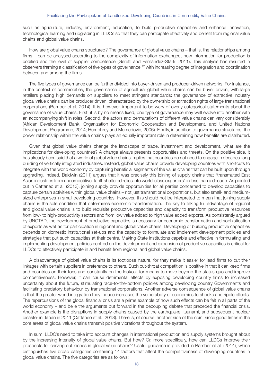such as agriculture, industry, environment, education, to build productive capacities and enhance innovation, technological learning and upgrading in LLDCs so that they can participate effectively and benefit from regional value chains and global value chains.

How are global value chains structured? The governance of global value chains – that is, the relationships among firms – can be analysed according to the complexity of information exchanged, how information for production is codified and the level of supplier competence (Gereffi and Fernandez-Stark, 2011). This analysis has resulted in observers framing a classification of five types of governance,<sup>17</sup> with increasing degree of integration and coordination between and among the firms.

The five types of governance can be further divided into buyer-driven and producer-driven networks. For instance, in the context of commodities, the governance of agricultural global value chains can be buyer driven, with large retailers placing high demands on suppliers to meet stringent standards; the governance of extractive industry global value chains can be producer driven, characterized by the ownership or extraction rights of large transnational corporations (Bamber et al, 2014). It is, however, important to be wary of overly categorical statements about the governance of value chains. First, it is by no means fixed; one type of governance may well evolve into another with an accompanying shift in roles. Second, the actors and permutations of different value chains can vary considerably (African Development Bank, Organization for Economic Cooperation and Development, and United Nations Development Programme, 2014; Humphrey and Memedovic, 2006). Finally, in addition to governance structures, the power relationship within the value chains plays an equally important role in determining how benefits are distributed.

Given that global value chains change the landscape of trade, investment and development, what are the implications for developing countries? A change always presents opportunities and threats. On the positive side, it has already been said that a world of global value chains implies that countries do not need to engage in decades-long building of vertically integrated industries. Instead, global value chains provide developing countries with shortcuts to integrate with the world economy by capturing beneficial segments of the value chains that can be built upon through upgrading. Indeed, Baldwin (2011) argues that it was precisely this joining of supply chains that "transmuted East Asian industries from uncompetitive, tariff-sheltered relics into world-class exporters" in less than a decade. As pointed out in Cattaneo et al. (2013), joining supply provide opportunities for all parties concerned to develop capacities to capture certain activities within global value chains – not just transnational corporations, but also small- and mediumsized enterprises in small developing countries. However, this should not be interpreted to mean that joining supply chains is the sole condition that determines economic transformation. The key to taking full advantage of regional and global value chains is to build requisite productive capacities and capacity to transform productive resources from low- to high-productivity sectors and from low value added to high value added exports. As consistently argued by UNCTAD, the development of productive capacities is necessary for economic transformation and sophistication of exports as well as for participation in regional and global value chains. Developing or building productive capacities depends on domestic institutional set-ups and the capacity to formulate and implement development policies and strategies that put such capacities at their centre. Making State institutions capable and effective in formulating and implementing development policies centred on the development and expansion of productive capacities is critical for LLDCs to effectively participate in and benefit from regional and global value chains.

A disadvantage of global value chains is its footloose nature, for they make it easier for lead firms to cut their linkages with certain suppliers in preference to others. Such cut-throat competition is positive in that it can keep firms and countries on their toes and constantly on the lookout for means to move beyond the status quo and improve competitiveness. However, it can cause detrimental effects by exposing developing country firms to increased uncertainty about the future, stimulating race-to-the-bottom policies among developing country Governments and facilitating predatory behaviour by transnational corporations. Another adverse consequence of global value chains is that the greater world integration they induce increases the vulnerability of economies to shocks and ripple effects. The repercussions of the global financial crisis are a prime example of how such effects can be felt in all parts of the world economy – and belie the arguments put forward in the decoupling debate that preceded the financial crisis. Another example is the disruptions in supply chains caused by the earthquake, tsunami, and subsequent nuclear disaster in Japan in 2011 (Cattaneo et al., 2013). There is, of course, another side of the coin, since good times in the core areas of global value chains transmit positive vibrations throughout the system.

In sum, LLDC's need to take into account changes in international production and supply systems brought about by the increasing intensity of global value chains. But how? Or, more specifically, how can LLDCs improve their prospects for carving out niches in global value chains? Useful guidance is provided in Bamber et al. (2014), which distinguishes five broad categories containing 14 factors that affect the competitiveness of developing countries in global value chains. The five categories are as follows: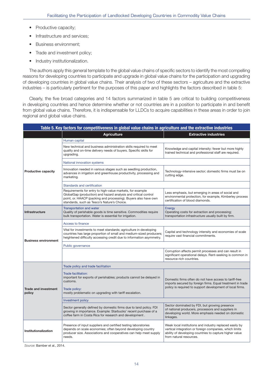- Productive capacity;
- Infrastructure and services;
- Business environment;
- Trade and investment policy;
- Industry institutionalization.

The authors apply this general template to the global value chains of specific sectors to identify the most compelling reasons for developing countries to participate and upgrade in global value chains for the participation and upgrading of developing countries in global value chains. Their analysis of two of these sectors – agriculture and the extractive industries – is particularly pertinent for the purposes of this paper and highlights the factors described in table 5:

Clearly, the five broad categories and 14 factors summarized in table 5 are critical to building competitiveness in developing countries and hence determine whether or not countries are in a position to participate in and benefit from global value chains. Therefore, it is indispensable for LLDCs to acquire capabilities in these areas in order to join regional and global value chains.

| Table 5. Key factors for competitiveness in global value chains in agriculture and the extractive industries |                                                                                                                                                                                                                                                |                                                                                                                                                                                                          |  |  |  |  |
|--------------------------------------------------------------------------------------------------------------|------------------------------------------------------------------------------------------------------------------------------------------------------------------------------------------------------------------------------------------------|----------------------------------------------------------------------------------------------------------------------------------------------------------------------------------------------------------|--|--|--|--|
|                                                                                                              | <b>Agriculture</b>                                                                                                                                                                                                                             | <b>Extractive industries</b>                                                                                                                                                                             |  |  |  |  |
|                                                                                                              | Human capital                                                                                                                                                                                                                                  |                                                                                                                                                                                                          |  |  |  |  |
|                                                                                                              | New technical and business administration skills required to meet<br>quality and on-time delivery needs of buyers. Specific skills for<br>upgrading.                                                                                           | Knowledge and capital intensity: fewer but more highly<br>trained technical and professional staff are required.                                                                                         |  |  |  |  |
|                                                                                                              | National innovation systems                                                                                                                                                                                                                    |                                                                                                                                                                                                          |  |  |  |  |
| <b>Productive capacity</b>                                                                                   | Innovation needed in various stages such as seedling production,<br>advances in irrigation and greenhouse productivity, processing and<br>marketing.                                                                                           | Technology-intensive sector; domestic firms must be on<br>cutting edge.                                                                                                                                  |  |  |  |  |
|                                                                                                              | Standards and certification                                                                                                                                                                                                                    |                                                                                                                                                                                                          |  |  |  |  |
|                                                                                                              | Requirements for entry to high-value markets, for example<br>GlobalGap (production) and hazard analysis and critical control<br>point, or. HAACP (packing and processing). Buyers also have own<br>standards, such as Tesco's Nature's Choice. | Less emphasis, but emerging in areas of social and<br>environmental protection, for example, Kimberley process<br>certification of blood diamonds.                                                       |  |  |  |  |
| <b>Infrastructure</b>                                                                                        | <b>Transportation and water</b><br>Quality of perishable goods is time sensitive. Commodities require<br>bulk transportation. Water is essential for irrigation.                                                                               | Energy<br>Operating costs for extraction and processing;<br>transportation infrastructure usually built by firm.                                                                                         |  |  |  |  |
|                                                                                                              | Access to finance                                                                                                                                                                                                                              |                                                                                                                                                                                                          |  |  |  |  |
| <b>Business environment</b>                                                                                  | Vital for investments to meet standards; agriculture in developing<br>countries has large proportion of small and medium-sized producers;<br>heightened difficulty accessing credit due to information asymmetry.                              | Capital and technology intensity and economies of scale<br>require vast financial commitments.                                                                                                           |  |  |  |  |
|                                                                                                              | Public governance                                                                                                                                                                                                                              |                                                                                                                                                                                                          |  |  |  |  |
|                                                                                                              |                                                                                                                                                                                                                                                | Corruption affects permit processes and can result in<br>significant operational delays. Rent-seeking is common in<br>resource-rich countries.                                                           |  |  |  |  |
|                                                                                                              | Trade policy and trade facilitation                                                                                                                                                                                                            |                                                                                                                                                                                                          |  |  |  |  |
| <b>Trade and investment</b><br>policy                                                                        | <b>Trade facilitation:</b><br>important for exports of perishables; products cannot be delayed in<br>customs.<br>Trade policy:<br>mostly problematic on upgrading with tariff escalation.                                                      | Domestic firms often do not have access to tariff-free<br>imports secured by foreign firms. Equal treatment in trade<br>policy is required to support development of local firms.                        |  |  |  |  |
|                                                                                                              | Investment policy                                                                                                                                                                                                                              |                                                                                                                                                                                                          |  |  |  |  |
|                                                                                                              | Sector generally defined by domestic firms due to land policy. FDI<br>growing in importance. Example: Starbucks' recent purchase of a<br>coffee farm in Costa Rica for research and development.                                               | Sector dominated by FDI, but growing presence<br>of national producers, processors and suppliers in<br>developing world. More emphasis needed on domestic<br>linkages.                                   |  |  |  |  |
| Institutionalization                                                                                         | Presence of input suppliers and certified testing laboratories<br>depends on scale economies; often beyond developing country<br>producer size. Associations and cooperatives can help meet supply<br>needs.                                   | Weak local institutions and industry replaced easily by<br>vertical integration or foreign companies, which limits<br>ability of developing countries to capture higher value<br>from natural resources. |  |  |  |  |

Source: Bamber et al., 2014.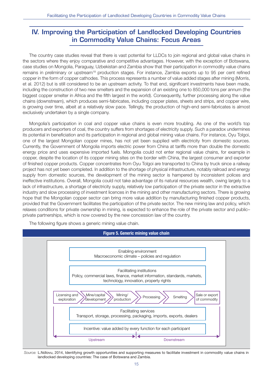## **IV. Improving the Participation of Landlocked Developing Countries in Commodity Value Chains: Focus Areas**

The country case studies reveal that there is vast potential for LLDCs to join regional and global value chains in the sectors where they enjoy comparative and competitive advantages. However, with the exception of Botswana, case studies on Mongolia, Paraguay, Uzbekistan and Zambia show that their participation in commodity value chains remains in preliminary or upstream<sup>18</sup> production stages. For instance, Zambia exports up to 95 per cent refined copper in the form of copper cathodes. This process represents a number of value added stages after mining (Morris, et al. 2012) but is still considered to be an upstream activity. To that end, significant investments have been made, including the construction of two new smelters and the expansion of an existing one to 850,000 tons per annum (the biggest copper smelter in Africa and the fifth largest in the world). Consequently, further processing along the value chains (downstream), which produces semi-fabricates, including copper plates, sheets and strips, and copper wire, is growing over time, albeit at a relatively slow pace. Tellingly, the production of high-end semi-fabricates is almost exclusively undertaken by a single company.

Mongolia's participation in coal and copper value chains is even more troubling. As one of the world's top producers and exporters of coal, the country suffers from shortages of electricity supply. Such a paradox undermines its potential in beneficiation and its participation in regional and global mining value chains. For instance, Oyu Tolgoi, one of the largest Mongolian copper mines, has not yet been supplied with electricity from domestic sources. Currently, the Government of Mongolia imports electric power from China at tariffs more than double the domestic energy price and uses expensive imported fuels. Mongolia could not enter regional value chains, for example in copper, despite the location of its copper mining sites on the border with China, the largest consumer and exporter of finished copper products. Copper concentrates from Oyu Tolgoi are transported to China by truck since a railway project has not yet been completed. In addition to the shortage of physical infrastructure, notably railroad and energy supply from domestic sources, the development of the mining sector is hampered by inconsistent polices and ineffective institutions. Overall, Mongolia could not take advantage of its natural resources wealth, owing largely to a lack of infrastructure, a shortage of electricity supply, relatively low participation of the private sector in the extractive industry and slow processing of investment licences in the mining and other manufacturing sectors. There is growing hope that the Mongolian copper sector can bring more value addition by manufacturing finished copper products, provided that the Government facilitates the participation of the private sector. The new mining law and policy, which relaxes conditions for private ownership in mining, is expected to enhance the role of the private sector and public– private partnerships, which is now covered by the new concession law of the country.

The following figure shows a generic mining value chain.



Source: L.Ndlovu, 2014, Identifying growth opportunities and supporting measures to facilitate investment in commodity value chains in landlocked developing countries: The case of Botswana and Zambia.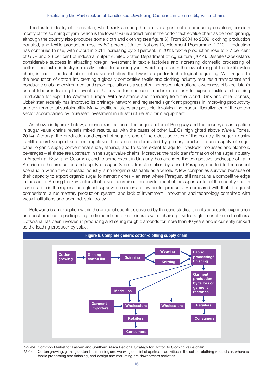The textile industry of Uzbekistan, which ranks among the top five largest cotton-producing countries, consists mostly of the spinning of yarn, which is the lowest value added item in the cotton textile value chain aside from ginning, although the country also produces some cloth and clothing (see figure 6). From 2004 to 2009, clothing production doubled, and textile production rose by 50 percent (United Nations Development Programme, 2010). Production has continued to rise, with output in 2014 increasing by 23 percent. In 2013, textile production rose to 2.7 per cent of GDP and 26 per cent of industrial output (United States Department of Agriculture (2014). Despite Uzbekistan's considerable success in attracting foreign investment in textile factories and increasing domestic processing of cotton, the textile industry is mostly limited to spinning yarn, which represents the lowest rung of the textile value chain, is one of the least labour intensive and offers the lowest scope for technological upgrading. With regard to the production of cotton lint, creating a globally competitive textile and clothing industry requires a transparent and conducive enabling environment and good reputation as a supplier. Increased international awareness of Uzbekistan's use of labour is leading to boycotts of Uzbek cotton and could undermine efforts to expand textile and clothing production for export to Western Europe. With assistance and financing from the World Bank and other donors, Uzbekistan recently has improved its drainage network and registered significant progress in improving productivity and environmental sustainability. Many additional steps are possible, involving the gradual liberalization of the cotton sector accompanied by increased investment in infrastructure and farm equipment.

As shown in figure 7 below, a close examination of the sugar sector of Paraguay and the country's participation in sugar value chains reveals mixed results, as with the cases of other LLDCs highlighted above (Varela Torres, 2014). Although the production and export of sugar is one of the oldest activities of the country, its sugar industry is still underdeveloped and uncompetitive. The sector is dominated by primary production and supply of sugar cane, organic sugar, conventional sugar, ethanol, and to some extent forage for livestock, molasses and alcoholic beverages – all these are upstream in the sugar value chains. Moreover, the rapid transformation of the sugar industry in Argentina, Brazil and Colombia, and to some extent in Uruguay, has changed the competitive landscape of Latin America in the production and supply of sugar. Such a transformation bypassed Paraguay and led to the current scenario in which the domestic industry is no longer sustainable as a whole. A few companies survived because of their capacity to export organic sugar to market niches – an area where Paraguay still maintains a competitive edge in the sector. Among the key factors that have undermined the development of the sugar sector of the country and its participation in the regional and global sugar value chains are low sector productivity, compared with that of regional competitors; a rudimentary production system; and lack of investment, innovation and technology combined with weak institutions and poor industrial policy.

Botswana is an exception within the group of countries covered by the case studies, and its successful experience and best practice in participating in diamond and other minerals value chains provides a glimmer of hope to others. Botswana has been involved in producing and selling rough diamonds for more than 40 years and is currently ranked as the leading producer by value.



**Figure 6. Complete generic cotton-clothing supply chain**

Source: Common Market for Eastern and Southern Africa Regional Strategy for Cotton to Clothing value chain. Note: Cotton growing, ginning cotton lint, spinning and weaving consist of upstream activities in the cotton-clothing value chain, whereas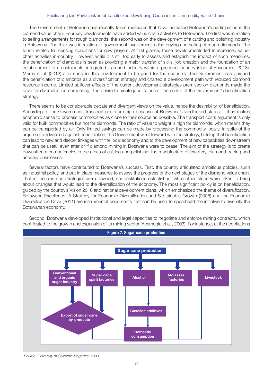The Government of Botswana has recently taken measures that have increased Botswana's participation in the diamond value chain. Four key developments have added value chain activities to Botswana. The first was in relation to selling arrangements for rough diamonds; the second was on the development of a cutting and polishing industry in Botswana. The third was in relation to government involvement in the buying and selling of rough diamonds. The fourth related to licensing conditions for new players. At first glance, these developments led to increased valuechain activities in-country. However, while it is still too early to assess and establish the impact of such measures, the beneficiation of diamonds is seen as providing a major transfer of skills, job creation and the foundation of an establishment of a sustainable, integrated diamond industry within a producer country (Capital Resources, 2013). Morris et al. (2012) also consider this development to be good for the economy. The Government has pursued the beneficiation of diamonds as a diversification strategy and charted a development path with reduced diamond resource income. Limited spillover effects of the current development strategies premised on diamonds made the drive for diversification compelling. The desire to create jobs is thus at the centre of the Government's beneficiation strategy.

There seems to be considerable debate and divergent views on the value, hence the desirability, of beneficiation. According to the Government, transport costs are high because of Botswana's landlocked status; it thus makes economic sense to process commodities as close to their source as possible. The transport costs argument is only valid for bulk commodities but not for diamonds. The ratio of value to weight is high for diamonds, which means they can be transported by air. Only limited savings can be made by processing the commodity locally. In spite of the arguments advanced against beneficiation, the Government went forward with the strategy, holding that beneficiation can lead to new and deeper linkages with the local economy and to the development of new capabilities downstream that can be useful even after or if diamond mining in Botswana were to cease. The aim of the strategy is to create downstream competencies in the areas of cutting and polishing, the manufacture of jewellery, diamond trading and ancillary businesses.

Several factors have contributed to Botswana's success. First, the country articulated ambitious policies, such as industrial policy, and put in place measures to assess the progress of the next stages of the diamond value chain. That is, policies and strategies were devised, and institutions established, while other steps were taken to bring about changes that would lead to the diversification of the economy. The most significant policy is on beneficiation, guided by the country's Vision 2016 and national development plans, which emphasized the theme of diversification. Botswana Excellence: A Strategy for Economic Diversification and Sustainable Growth (2008) and the Economic Diversification Drive (2011) are instrumental documents that can be used to spearhead the initiative to diversify the Botswanan economy.



Second, Botswana developed institutional and legal capacities to negotiate and enforce mining contracts, which contributed to the growth and expansion of its mining sector (Acemoglu et al., 2003). For instance, at the negotiations

Source: University of California Magazine, 2003.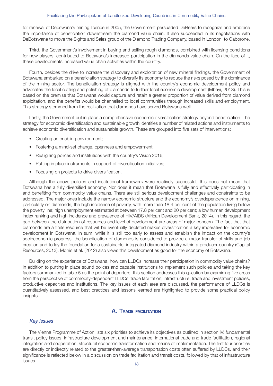for renewal of Debswana's mining licence in 2005, the Government persuaded DeBeers to recognize and embrace the importance of beneficiation downstream the diamond value chain. It also succeeded in its negotiations with DeBotswana to move the Sights and Sales group of the Diamond Trading Company, based in London, to Gaborone.

Third, the Government's involvement in buying and selling rough diamonds, combined with licensing conditions for new players, contributed to Botswana's increased participation in the diamonds value chain. On the face of it, these developments increased value chain activities within the country.

Fourth, besides the drive to increase the discovery and exploitation of new mineral findings, the Government of Botswana embarked on a beneficiation strategy to diversify its economy to reduce the risks posed by the dominance of the mining sector. The beneficiation strategy is aligned with the country's economic development policy and advocates the local cutting and polishing of diamonds to further local economic development (Mbayi, 2013). This is based on the premise that Botswana would capture and retain a greater proportion of value derived from diamond exploitation, and the benefits would be channelled to local communities through increased skills and employment. This strategy stemmed from the realization that diamonds have served Botswana well.

Lastly, the Government put in place a comprehensive economic diversification strategy beyond beneficiation. The strategy for economic diversification and sustainable growth identifies a number of related actions and instruments to achieve economic diversification and sustainable growth. These are grouped into five sets of interventions:

- Creating an enabling environment:
- Fostering a mind-set change, openness and empowerment;
- Realigning polices and institutions with the country's Vision 2016;
- Putting in place instruments in support of diversification initiatives;
- Focusing on projects to drive diversification.

Although the above policies and institutional framework were relatively successful, this does not mean that Botswana has a fully diversified economy. Nor does it mean that Botswana is fully and effectively participating in and benefiting from commodity value chains. There are still serious development challenges and constraints to be addressed. The major ones include the narrow economic structure and the economy's overdependence on mining, particularly on diamonds; the high incidence of poverty, with more than 18.4 per cent of the population living below the poverty line; high unemployment estimated at between 17.8 per cent and 20 per cent; a low human development index ranking and high incidence and prevalence of HIV/AIDS (African Development Bank, 2014). In this regard, the gap between the distribution of resources and level of development are areas of major concern. The fact that that diamonds are a finite resource that will be eventually depleted makes diversification a key imperative for economic development in Botswana. In sum, while it is still too early to assess and establish the impact on the country's socioeconomic progress, the beneficiation of diamonds is considered to provide a major transfer of skills and job creation and to lay the foundation for a sustainable, integrated diamond industry within a producer country (Capital Resources, 2013). Morris et al. (2012) also views this development as good for the economy of Botswana.

Building on the experience of Botswana, how can LLDCs increase their participation in commodity value chains? In addition to putting in place sound polices and capable institutions to implement such policies and taking the key factors summarized in table 5 as the point of departure, this section addresses this question by examining five areas from the perspective of commodity-dependent LLDCs: trade facilitation, infrastructure, trade and investment policies, productive capacities and institutions. The key issues of each area are discussed, the performance of LLDCs is quantitatively assessed, and best practices and lessons learned are highlighted to provide some practical policy insights.

#### **A. TRADE FACILITATION**

#### Key issues

The Vienna Programme of Action lists six priorities to achieve its objectives as outlined in section IV: fundamental transit policy issues, infrastructure development and maintenance, international trade and trade facilitation, regional integration and cooperation, structural economic transformation and means of implementation. The first four priorities are directly or indirectly related to the greater-than-average transportation costs often suffered by LLDCs, and their significance is reflected below in a discussion on trade facilitation and transit costs, followed by that of infrastructure issues.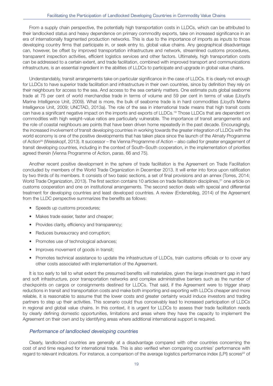From a supply chain perspective, the potentially high transportation costs in LLDCs, which can be attributed to their landlocked status and heavy dependence on primary commodity exports, take on increased significance in an era of internationally fragmented production networks. This is due to the importance of imports as inputs to those developing country firms that participate in, or seek entry to, global value chains. Any geographical disadvantage can, however, be offset by improved transportation infrastructure and network, streamlined customs procedures, transparent inspection activities, efficient logistics services and other factors. Ultimately, high transportation costs can be addressed to a certain extent, and trade facilitation, combined with improved transport and communications infrastructure, is an essential ingredient in the abilities of LLDCs to participate and upgrade in global value chains.

Understandably, transit arrangements take on particular significance in the case of LLDCs. It is clearly not enough for LLDCs to have superior trade facilitation and infrastructure in their own countries, since by definition they rely on their neighbours for access to the sea. And access to the sea certainly matters. One estimate puts global seaborne trade at 75 per cent of world merchandise trade in terms of volume and 59 per cent in terms of value (Lloyd's Marine Intelligence Unit, 2009). What is more, the bulk of seaborne trade is in hard commodities (Lloyd's Marine Intelligence Unit, 2009; UNCTAD, 2013a). The role of the sea in international trade means that high transit costs can have a significant negative impact on the imports and exports of LLDCs.<sup>19</sup> Those LLDCs that are dependent on commodities with high weight–value ratios are particularly vulnerable. The importance of transit arrangements and the role of coastal neighbours are points that have been driven home repeatedly in the past decade. Encouragingly, the increased involvement of transit developing countries in working towards the greater integration of LLDCs with the world economy is one of the positive developments that has taken place since the launch of the Almaty Programme of Action<sup>20</sup> (Weisskopf, 2013). It successor – the Vienna Programme of Action – also called for greater engagement of transit developing countries, including in the context of South–South cooperation, in the implementation of priorities agreed therein (Vienna Programme of Action, paras. 66 and 75).

Another recent positive development in the sphere of trade facilitation is the Agreement on Trade Facilitation concluded by members of the World Trade Organization in December 2013. It will enter into force upon ratification by two thirds of its members. It consists of two basic sections, a set of final provisions and an annex (Torres, 2014; World Trade Organization, 2013). The first section contains 10 articles on trade facilitation disciplines,<sup>21</sup> one article on customs cooperation and one on institutional arrangements. The second section deals with special and differential treatment for developing countries and least developed countries. A review (Erdenebileg, 2014) of the Agreement from the LLDC perspective summarizes the benefits as follows:

- Speeds up customs procedures;
- Makes trade easier, faster and cheaper;
- Provides clarity, efficiency and transparency;
- Reduces bureaucracy and corruption;
- Promotes use of technological advances;
- Improves movement of goods in transit;
- Promotes technical assistance to update the infrastructure of LLDCs, train customs officials or to cover any other costs associated with implementation of the Agreement.

It is too early to tell to what extent the presumed benefits will materialize, given the large investment gap in hard and soft infrastructure, poor transportation networks and complex administrative barriers such as the number of checkpoints on cargos or consignments destined for LLDCs. That said, if the Agreement were to trigger sharp reductions in transit and transportation costs and make both importing and exporting with LLDCs cheaper and more reliable, it is reasonable to assume that the lower costs and greater certainty would induce investors and trading partners to step up their activities. This scenario could thus conceivably lead to increased participation of LLDCs in regional and global value chains. In this context, it is urgent for LLDCs to assess their trade facilitation needs by clearly defining domestic opportunities, limitations and areas where they have the capacity to implement the Agreement on their own and by identifying areas where additional international support is required.

#### Performance of landlocked developing countries

Clearly, landlocked countries are generally at a disadvantage compared with other countries concerning the cost of and time required for international trade. This is also verified when comparing countries' performance with regard to relevant indicators. For instance, a comparison of the average logistics performance index (LPI) scores<sup>22</sup> of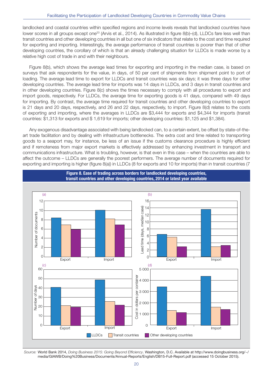landlocked and coastal countries within specified regions and income levels reveals that landlocked countries have lower scores in all groups except one<sup>23</sup> (Arvis et al., 2014). As illustrated in figure 8(b)–(d), LLDCs fare less well than transit countries and other developing countries in all but one of six indicators that relate to the cost and time required for exporting and importing. Interestingly, the average performance of transit countries is poorer than that of other developing countries, the corollary of which is that an already challenging situation for LLDCs is made worse by a relative high cost of trade in and with their neighbours.

Figure 8(b), which shows the average lead times for exporting and importing in the median case, is based on surveys that ask respondents for the value, in days, of 50 per cent of shipments from shipment point to port of loading. The average lead time to export for LLDCs and transit countries was six days; it was three days for other developing countries. The average lead time for imports was 14 days in LLDCs, and 3 days in transit countries and in other developing countries. Figure 8(c) shows the times necessary to comply with all procedures to export and import goods, respectively. For LLDCs, the average time for exporting goods is 41 days, compared with 49 days for importing. By contrast, the average time required for transit countries and other developing countries to export is 21 days and 20 days, respectively, and 26 and 22 days, respectively, to import. Figure 8(d) relates to the costs of exporting and importing, where the averages in LLDCs are \$3,444 for exports and \$4,344 for imports (transit countries: \$1,313 for exports and \$ 1,619 for imports; other developing countries: \$1,125 and \$1,384).

Any exogenous disadvantage associated with being landlocked can, to a certain extent, be offset by state-of-theart trade facilitation and by dealing with infrastructure bottlenecks. The extra cost and time related to transporting goods to a seaport may, for instance, be less of an issue if the customs clearance procedure is highly efficient and if remoteness from major export markets is effectively addressed by enhancing investment in transport and communications infrastructure. What is troubling, however, is that even in this case – when the countries are able to affect the outcome – LLDCs are generally the poorest performers. The average number of documents required for exporting and importing is higher (figure 8(a)) in LLDCs (8 for exports and 10 for imports) than in transit countries (7

**Figure 8. Ease of trading across borders for landlocked developing countries,**



Source: World Bank 2014, Doing Business 2015: Going Beyond Efficiency. Washington, D.C. Available at http://www.doingbusiness.org/~/ media/GIAWB/Doing%20Business/Documents/Annual-Reports/English/DB15-Full-Report.pdf (accessed 15 October 2015).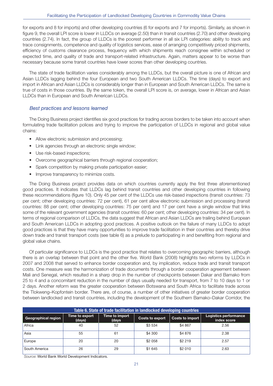for exports and 8 for imports) and other developing countries (6 for exports and 7 for imports). Similarly, as shown in figure 9, the overall LPI score is lower in LLDCs on average (2.50) than in transit countries (2.70) and other developing countries (2.74). In fact, the group of LLDCs is the poorest performer in all six LPI categories: ability to track and trace consignments, competence and quality of logistics services, ease of arranging competitively priced shipments, efficiency of customs clearance process, frequency with which shipments reach consignee within scheduled or expected time, and quality of trade and transport-related infrastructure. Again, matters appear to be worse than necessary because some transit countries have lower scores than other developing countries.

The state of trade facilitation varies considerably among the LLDCs, but the overall picture is one of African and Asian LLDCs lagging behind the four European and two South American LLDCs. The time (days) to export and import in African and Asian LLDCs is considerably longer than in European and South American LLDCs. The same is true of costs in those countries. By the same token, the overall LPI score is, on average, lower in African and Asian LLDCs than in European and South American LLDCs.

#### Best practices and lessons learned

The Doing Business project identifies six good practices for trading across borders to be taken into account when formulating trade facilitation polices and trying to improve the participation of LLDCs in regional and global value chains:

- Allow electronic submission and processing;
- Link agencies through an electronic single window;
- Use risk-based inspections;
- Overcome geographical barriers through regional cooperation;
- Spark competition by making private participation easier;
- Improve transparency to minimize costs.

The Doing Business project provides data on which countries currently apply the first three aforementioned good practices. It indicates that LLDCs lag behind transit countries and other developing countries in following these recommendations (figure 10). Only 45 per cent of the LLDCs use risk-based inspections (transit countries: 73 per cent; other developing countries: 72 per cent), 61 per cent allow electronic submission and processing (transit countries: 88 per cent; other developing countries: 75 per cent) and 17 per cent have a single window that links some of the relevant government agencies (transit countries: 60 per cent; other developing countries: 34 per cent). In terms of regional comparison of LLDCs, the data suggest that African and Asian LLDCs are trailing behind European and South American LLDCs in adopting good practices. A positive outlook on the failure of many LLDCs to adopt good practices is that they have many opportunities to improve trade facilitation in their countries and thereby drive down trade and transit transport costs (see table 6) as a prelude to participating in and benefiting from regional and global value chains.

Of particular significance to LLDCs is the good practice that relates to overcoming geographic barriers, although there is an overlap between that point and the other five. World Bank (2008) highlights two reforms by LLDCs in 2007 and 2008 that served to enhance border cooperation and, by implication, reduce trade and transit transport costs. One measure was the harmonization of trade documents through a border cooperation agreement between Mali and Senegal, which resulted in a sharp drop in the number of checkpoints between Dakar and Bamako from 25 to 4 and a concomitant reduction in the number of days usually needed for transport, from 7 to 10 days to 1 or 2 days. Another reform was the greater cooperation between Botswana and South Africa to facilitate trade across the Tlokweng–Kopfontein border. There are, of course, a number of other initiatives of greater border cooperation between landlocked and transit countries, including the development of the Southern Bamako–Dakar Corridor, the

| Table 6. State of trade facilitation in landlocked developing countries |                          |                         |                 |                        |                                      |  |  |
|-------------------------------------------------------------------------|--------------------------|-------------------------|-----------------|------------------------|--------------------------------------|--|--|
| Geographical region                                                     | Time to export<br>(days) | Time to import<br>(days | Costs to export | <b>Costs to import</b> | Logistics performance<br>index score |  |  |
| Africa                                                                  | 40                       | 52                      | \$3 534         | \$4 867                | 2.56                                 |  |  |
| Asia                                                                    | 55                       | 61                      | \$4 300         | \$4876                 | 2.38                                 |  |  |
| Europe                                                                  | 20                       | 20                      | \$2 058         | \$2 219                | 2.57                                 |  |  |
| South America                                                           | 26                       | 29                      | \$1 645         | \$2 010                | 2.63                                 |  |  |

Source: World Bank World Development Indicators.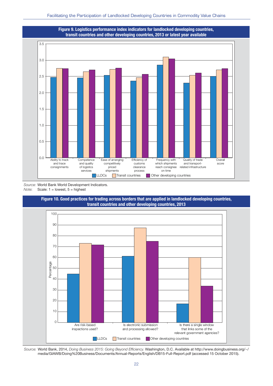

Source: World Bank World Development Indicators. Note: Scale:  $1 =$  lowest,  $5 =$  highest



Source: World Bank, 2014, Doing Business 2015: Going Beyond Efficiency. Washington, D.C. Available at http://www.doingbusiness.org/~/ media/GIAWB/Doing%20Business/Documents/Annual-Reports/English/DB15-Full-Report.pdf (accessed 15 October 2015).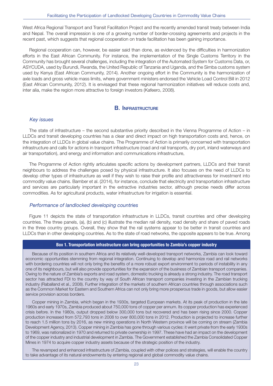West Africa Regional Transport and Transit Facilitation Project and the recently amended transit treaty between India and Nepal. The overall impression is one of a growing number of border-crossing agreements and projects in the recent past, which suggests that regional cooperation on trade facilitation has been gaining importance.

Regional cooperation can, however, be easier said than done, as evidenced by the difficulties in harmonization efforts in the East African Community. For instance, the implementation of the Single Customs Territory in the Community has brought several challenges, including the integration of the Automated System for Customs Data, or, ASYCUDA, used by Burundi, Rwanda, the United Republic of Tanzania and Uganda, and the Simba customs system used by Kenya (East African Community, 2014). Another ongoing effort in the Community is the harmonization of axle loads and gross vehicle mass limits, where government ministers endorsed the Vehicle Load Control Bill in 2012 (East African Community, 2012). It is envisaged that these regional harmonization initiatives will reduce costs and, inter alia, make the region more attractive to foreign investors (Kafeero, 2008).

### **B. INFRASTRUCTURE**

#### Key issues

The state of infrastructure – the second substantive priority described in the Vienna Programme of Action – in LLDCs and transit developing countries has a clear and direct impact on high transportation costs and, hence, on the integration of LLDCs in global value chains. The Programme of Action is primarily concerned with transportation infrastructure and calls for actions in transport infrastructure (road and rail transports, dry port, inland waterways and air transportation), and energy and information and communications infrastructure,

The Programme of Action rightly articulates specific actions by development partners, LLDCs and their transit neighbours to address the challenges posed by physical infrastructure. It also focuses on the need of LLDCs to develop other types of infrastructure as well if they wish to raise their profile and attractiveness for investment into commodity value chains. Bamber et al. (2014), for instance, conclude that electricity and transportation infrastructure and services are particularly important in the extractive industries sector, although precise needs differ across commodities. As for agricultural products, water infrastructure for irrigation is essential.

#### Performance of landlocked developing countries

Figure 11 depicts the state of transportation infrastructure in LLDCs, transit countries and other developing countries. The three panels, (a), (b) and (c) illustrate the median rail density, road density and share of paved roads in the three country groups. Overall, they show that the rail systems appear to be better in transit countries and LLDCs than in other developing countries. As to the state of road networks, the opposite appears to be true. Among

#### **Box 1. Transportation infrastructure can bring opportunities to Zambia's copper industry**

Because of its position in southern Africa and its relatively well-developed transport networks, Zambia can look toward economic opportunities stemming from regional integration. Continuing to develop and harmonize road and rail networks with bordering countries will not only bring the benefits of a more robust export environment to periods of instability in any one of its neighbours, but will also provide opportunities for the expansion of the business of Zambian transport companies. Owing to the nature of Zambia's exports and road system, domestic trucking is already a strong industry. The road transport sector has attracted FDI to the country by way of South African transport companies investing in the Zambian trucking industry (Raballand et al., 2008). Further integration of the markets of southern African countries through associations such as the Common Market for Eastern and Southern Africa can not only bring more prosperous trade in goods, but allow easier service provision across borders.

Copper mining in Zambia, which began in the 1930s, targeted European markets. At its peak of production in the late 1960s and early 1970s, Zambia produced about 750,000 tons of copper per annum. Its copper production has experienced crisis before. In the 1980s, output dropped below 300,000 tons but recovered and has been rising since 2000. Copper production increased from 572,793 tons in 2008 to over 800,000 tons in 2012. Production is projected to increase further to reach 1.5 million tons by 2016, as new mining operations in North Western province will be coming on stream (Zambia Development Agency, 2013). Copper mining in Zambia has gone through various cycles: it went private from the early 1930s to 1969, was nationalized in 1970 and returned to private ownership in 1997. These have had an impact on the development of the copper industry and industrial development in Zambia. The Government established the Zambia Consolidated Copper Mines in 1974 to acquire copper industry assets because of the strategic position of the industry.

The revamped and enhanced infrastructure of Zambia, coupled with other polices and strategies, will enable the country to take advantage of its natural endowments by entering regional and global commodity value chains.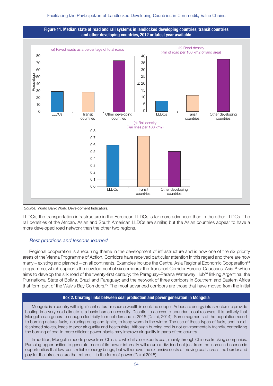#### **Figure 11. Median state of road and rail systems in landlocked developing countries, transit countries and other developing countries, 2012 or latest year available**



Source: World Bank World Development Indicators.

LLDCs, the transportation infrastructure in the European LLDCs is far more advanced than in the other LLDCs. The rail densities of the African, Asian and South American LLDCs are similar, but the Asian countries appear to have a more developed road network than the other two regions.

#### Best practices and lessons learned

Regional cooperation is a recurring theme in the development of infrastructure and is now one of the six priority areas of the Vienna Programme of Action. Corridors have received particular attention in this regard and there are now many – existing and planned – on all continents. Examples include the Central Asia Regional Economic Cooperation<sup>24</sup> programme, which supports the development of six corridors: the Transport Corridor Europe–Caucasus–Asia,25 which aims to develop the silk road of the twenty-first century; the Paraguay–Parana Waterway Hub<sup>26</sup> linking Argentina, the Plurinational State of Bolivia, Brazil and Paraguay; and the network of three corridors in Southern and Eastern Africa that form part of the Walvis Bay Corridors.27 The most advanced corridors are those that have moved from the initial

#### **Box 2. Creating links between coal production and power generation in Mongolia**

Mongolia is a country with significant natural resource wealth in coal and copper. Adequate energy infrastructure to provide heating in a very cold climate is a basic human necessity. Despite its access to abundant coal reserves, it is unlikely that Mongolia can generate enough electricity to meet demand in 2015 (Dalrai, 2014). Some segments of the population resort to burning natural fuels, including dung and lignite, to keep warm in the winter. The use of these types of fuels, and in oldfashioned stoves, leads to poor air quality and health risks. Although burning coal is not environmentally friendly, centralizing the burning of coal in more efficient power plants may improve air quality in parts of the country.

In addition, Mongolia imports power from China, to which it also exports coal, mainly through Chinese trucking companies. Pursuing opportunities to generate more of its power internally will return a dividend not just from the increased economic opportunities that low-cost, reliable energy brings, but will remove the extensive costs of moving coal across the border and pay for the infrastructure that returns it in the form of power (Dalrai 2015).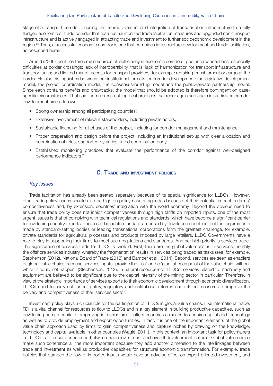stage of a transport corridor focusing on the improvement and integration of transportation infrastructure to a fully fledged economic or trade corridor that features harmonized trade facilitation measures and upgraded non-transport infrastructure and is actively engaged in attracting trade and investment to further socioeconomic development in the region.28 Thus, a successful economic corridor is one that combines infrastructure development and trade facilitation, as described herein.

Arnold (2006) identifies three main sources of inefficiency in economic corridors: poor interconnections, especially difficulties at border crossings; lack of interoperability, that is, lack of harmonization for transport infrastructure and transport units; and limited market access for transport providers, for example requiring transhipment or cargo at the border. He also distinguishes between four institutional formats for corridor development: the legislative development model, the project coordination model, the consensus-building model and the public–private partnership model. Since each contains benefits and drawbacks, the model that should be adopted is therefore contingent on casespecific circumstances. That said, some cross-cutting best practices that recur again and again in studies on corridor development are as follows:

- Strong ownership among all participating countries;
- Extensive involvement of relevant stakeholders, including private actors;
- Sustainable financing for all phases of the project, including for corridor management and maintenance;
- Proper preparation and design before the project, including an institutional set-up with clear allocation and coordination of roles, supported by an instituted coordination body.
- Established monitoring practices that evaluate the performance of the corridor against well-designed performance indicators.29

#### **C. TRADE AND INVESTMENT POLICIES**

#### Key issues

Trade facilitation has already been treated separately because of its special significance for LLDCs. However, other trade policy issues should also be high on policymakers' agendas because of their potential impact on firms' competitiveness and, by extension, countries' integration with the world economy. Beyond the obvious need to ensure that trade policy does not inhibit competitiveness through high tariffs on imported inputs, one of the most urgent issues is that of complying with technical regulations and standards, which have become a significant barrier to developing country exports. These can be public standards imposed by developed countries, but the requirements made by standard-setting bodies or leading transnational corporations form the greatest challenge, for example, private standards for agricultural processes and products imposed by large retailers. LLDC Governments have a role to play in supporting their firms to meet such regulations and standards. Another high priority is services trade. The significance of services trade to LLDCs is twofold. First, there are the global value chains in services, notably the offshore services industry, whereby the fragmentation results in services being traded as tasks (see, for example, Stephenson (2012), National Board of Trade (2013) and Bamber et al., 2014). Second, services are seen as enablers of global value chains because services inputs "provide the 'link' or the 'glue' at each point of the value chain, without which it could not happen" (Stephenson, 2012). In natural resource-rich LLDCs, services related to machinery and equipment are believed to be significant due to the capital intensity of the mining sector in particular. Therefore, in view of the strategic importance of services exports to their economic development through economic diversification, LLDCs need to carry out further policy, regulatory and institutional reforms and related measures to improve the delivery and competitiveness of their services sector.

Investment policy plays a crucial role for the participation of LLDCs in global value chains. Like international trade, FDI is a vital channel for resources to flow to LLDCs and is a key element in building productive capacities, such as developing human capital or improving infrastructure. It offers countries a means to acquire capital and technology as well as to provide employment and export opportunities. In fact, it is one of the important elements of the global value chain approach used by firms to gain competitiveness and capture niches by drawing on the knowledge, technology and capital available in other countries (Waglé, 2011). In this context, an important task for policymakers in LLDCs is to ensure coherence between trade investment and overall development policies. Global value chains make such coherence all the more important because they add another dimension to the interlinkages between trade and investment as well as productive capacities for structural economic transformation. For example, trade policies that dampen the flow of imported inputs would have an adverse effect on export-oriented investment, and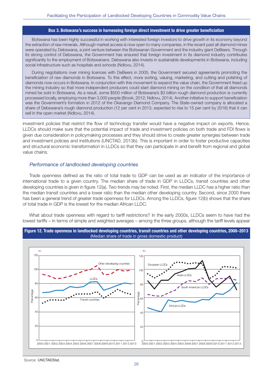#### **Box 3. Botswana's success in harnessing foreign direct investment to drive greater beneficiation**

Botswana has been highly successful in working with interested foreign investors to drive growth in its economy beyond the extraction of raw minerals. Although market access is now open to many companies, in the recent past all diamond mines were operated by Debswana, a joint venture between the Botswanan Government and the industry giant DeBeers. Through its strong control of Debswana, the Government has ensured that foreign investment in its diamond industry contributes significantly to the employment of Botswanans. Debswana also invests in sustainable developments in Botswana, including social infrastructure such as hospitals and schools (Ndlovu, 2014).

During negotiations over mining licences with DeBeers in 2005, the Government secured agreements promoting the beneficiation of raw diamonds in Botswana. To this effect, more sorting, valuing, marketing, and cutting and polishing of diamonds now occurs in Botswana. In conjunction with this movement to expand the value chain, the Government freed up the mining industry so that more independent producers could start diamond mining on the condition of that all diamonds mined be sold in Botswana. As a result, some \$500 million of Botswana's \$3 billion rough diamond production is currently processed locally, employing more than 3,000 people (Brook, 2012; Ndlovu, 2014). Another initiative to support beneficiation was the Government's formation in 2012 of the Okavango Diamond Company. The State-owned company is allocated a share of Debswana's rough diamond production (12 per cent in 2013, expected to rise to 15 per cent by 2016) that it can sell in the open market (Ndlovu, 2014).

investment policies that restrict the flow of technology transfer would have a negative impact on exports. Hence, LLDCs should make sure that the potential impact of trade and investment policies on both trade and FDI flows is given due consideration in policymaking processes and they should strive to create greater synergies between trade and investment policies and institutions (UNCTAD, 2013b). This is important in order to foster productive capacities and structural economic transformation in LLDCs so that they can participate in and benefit from regional and global value chains.

#### Performance of landlocked developing countries

Trade openness defined as the ratio of total trade to GDP can be used as an indicator of the importance of international trade to a given country. The median share of trade in GDP in LLDCs, transit countries and other developing countries is given in figure 12(a). Two trends may be noted. First, the median LLDC has a higher ratio than the median transit countries and a lower ratio than the median other developing country. Second, since 2000 there has been a general trend of greater trade openness for LLDCs. Among the LLDCs, figure 12(b) shows that the share of total trade in GDP is the lowest for the median African LLDC.

What about trade openness with regard to tariff restrictions? In the early 2000s, LLDCs seem to have had the lowest tariffs – in terms of simple and weighted averages – among the three groups, although the tariff levels appear



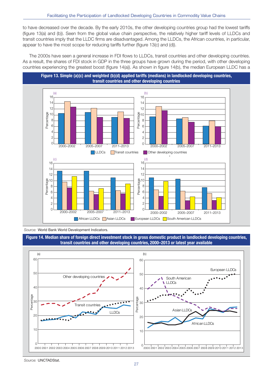to have decreased over the decade. By the early 2010s, the other developing countries group had the lowest tariffs (figure 13(a) and (b)). Seen from the global value chain perspective, the relatively higher tariff levels of LLDCs and transit countries imply that the LLDC firms are disadvantaged. Among the LLDCs, the African countries, in particular, appear to have the most scope for reducing tariffs further (figure 13(c) and (d)).

The 2000s have seen a general increase in FDI flows to LLDCs, transit countries and other developing countries. As a result, the shares of FDI stock in GDP in the three groups have grown during the period, with other developing countries experiencing the greatest boost (figure 14(a)). As shown in figure 14(b), the median European LLDC has a



Source: World Bank World Development Indicators.

**Figure 14. Median share of foreign direct investment stock in gross domestic product in landlocked developing countries, transit countries and other developing countries, 2000–2013 or latest year available**



Source: UNCTADStat.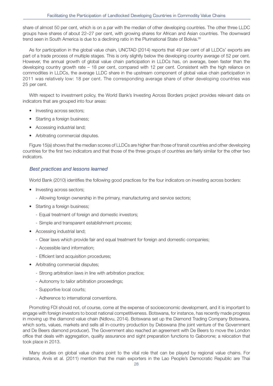share of almost 50 per cent, which is on a par with the median of other developing countries. The other three LLDC groups have shares of about 22–27 per cent, with growing shares for African and Asian countries. The downward trend seen in South America is due to a declining ratio in the Plurinational State of Bolivia.<sup>30</sup>

As for participation in the global value chain, UNCTAD (2014) reports that 49 per cent of all LLDCs' exports are part of a trade process of multiple stages. This is only slightly below the developing country average of 52 per cent. However, the annual growth of global value chain participation in LLDCs has, on average, been faster than the developing country growth rate – 18 per cent, compared with 12 per cent. Consistent with the high reliance on commodities in LLDCs, the average LLDC share in the upstream component of global value chain participation in 2011 was relatively low: 18 per cent. The corresponding average share of other developing countries was 25 per cent.

With respect to investment policy, the World Bank's Investing Across Borders project provides relevant data on indicators that are grouped into four areas:

- Investing across sectors;
- Starting a foreign business;
- Accessing industrial land;
- Arbitrating commercial disputes.

Figure 15(a) shows that the median scores of LLDCs are higher than those of transit countries and other developing countries for the first two indicators and that those of the three groups of countries are fairly similar for the other two indicators.

#### Best practices and lessons learned

World Bank (2010) identifies the following good practices for the four indicators on investing across borders:

- Investing across sectors;
	- Allowing foreign ownership in the primary, manufacturing and service sectors;
- Starting a foreign business;
	- Equal treatment of foreign and domestic investors;
	- Simple and transparent establishment process;
- Accessing industrial land;
	- Clear laws which provide fair and equal treatment for foreign and domestic companies;
	- Accessible land information;
	- Efficient land acquisition procedures;
- Arbitrating commercial disputes;
	- Strong arbitration laws in line with arbitration practice;
	- Autonomy to tailor arbitration proceedings;
	- Supportive local courts;
	- Adherence to international conventions.

Promoting FDI should not, of course, come at the expense of socioeconomic development, and it is important to engage with foreign investors to boost national competitiveness. Botswana, for instance, has recently made progress in moving up the diamond value chain (Ndlovu, 2014). Botswana set up the Diamond Trading Company Botswana, which sorts, values, markets and sells all in-country production by Debswana (the joint venture of the Government and De Beers diamond producer). The Government also reached an agreement with De Beers to move the London office that deals with aggregation, quality assurance and sight preparation functions to Gaborone; a relocation that took place in 2013.

Many studies on global value chains point to the vital role that can be played by regional value chains. For instance, Arvis et al. (2011) mention that the main exporters in the Lao People's Democratic Republic are Thai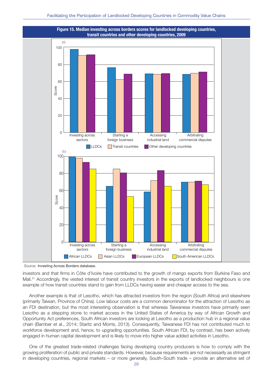

Source: Investing Across Borders database.

investors and that firms in Côte d'Ivoire have contributed to the growth of mango exports from Burkina Faso and Mali.<sup>31</sup> Accordingly, the vested interest of transit country investors in the exports of landlocked neighbours is one example of how transit countries stand to gain from LLDCs having easier and cheaper access to the sea.

Another example is that of Lesotho, which has attracted investors from the region (South Africa) and elsewhere (primarily Taiwan, Province of China). Low labour costs are a common denominator for the attraction of Lesotho as an FDI destination, but the most interesting observation is that whereas Taiwanese investors have primarily seen Lesotho as a stepping stone to market access in the United States of America by way of African Growth and Opportunity Act preferences, South African investors are looking at Lesotho as a production hub in a regional value chain (Bamber et al., 2014; Staritz and Morris, 2013). Consequently, Taiwanese FDI has not contributed much to workforce development and, hence, to upgrading opportunities. South African FDI, by contrast, has been actively engaged in human capital development and is likely to move into higher value added activities in Lesotho.

One of the greatest trade-related challenges facing developing country producers is how to comply with the growing proliferation of public and private standards. However, because requirements are not necessarily as stringent in developing countries, regional markets – or more generally, South–South trade – provide an alternative set of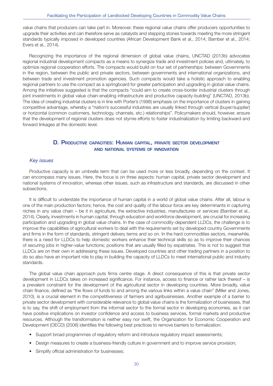value chains that producers can take part in. Moreover, these regional value chains offer producers opportunities to upgrade their activities and can therefore serve as catalysts and stepping stones towards meeting the more stringent standards typically imposed in developed countries (African Development Bank et al., 2014; Bamber et al., 2014; Evers et al., 2014).

Recognizing the importance of the regional dimension of global value chains, UNCTAD (2013b) advocates regional industrial development compacts as a means to synergize trade and investment policies and, ultimately, to optimize regional cooperation efforts. The compacts would build on four set of partnerships: between Governments in the region, between the public and private sectors, between governments and international organizations, and between trade and investment promotion agencies. Such compacts would take a holistic approach to enabling regional partners to use the compact as a springboard for greater participation and upgrading in global value chains. Among the initiatives suggested is that the compacts "could aim to create cross-border industrial clusters through joint investments in global value chain-enabling infrastructure and productive capacity-building" (UNCTAD, 2013b). The idea of creating industrial clusters is in line with Porter's (1998) emphasis on the importance of clusters in gaining competitive advantage, whereby a "nation's successful industries are usually linked through vertical (buyer/supplier) or horizontal (common customers, technology, channels, etc.) relationships". Policymakers should, however, ensure that the development of regional clusters does not stymie efforts to foster industrialization by limiting backward and forward linkages at the domestic level.

#### **D. PRODUCTIVE CAPACITIES: HUMAN CAPITAL, PRIVATE SECTOR DEVELOPMENT AND NATIONAL SYSTEMS OF INNOVATION**

#### Key issues

Productive capacity is an umbrella term that can be used more or less broadly, depending on the context. It can encompass many issues. Here, the focus is on three aspects: human capital, private sector development and national systems of innovation, whereas other issues, such as infrastructure and standards, are discussed in other subsections.

It is difficult to understate the importance of human capital in a world of global value chains. After all, labour is one of the main production factors; hence, the cost and quality of the labour force are key determinants in capturing niches in any value chain – be it in agriculture, the extractive industries, manufactures or services (Bamber et al., 2014). Clearly, investments in human capital, through education and workforce development, are crucial for increasing participation and upgrading in global value chains. In the case of commodity-dependent LLDCs, the challenge is to improve the capabilities of agricultural workers to deal with the requirements set by developed country Governments and firms in the form of standards, stringent delivery terms and so on. In the hard commodities sectors, meanwhile, there is a need for LLDCs to help domestic workers enhance their technical skills so as to improve their chances of securing jobs in higher-value functions; positions that are usually filled by expatriates. This is not to suggest that LLDCs are on their own in addressing these issues. Developed countries and other trading partners in a position to do so also have an important role to play in building the capacity of LLDCs to meet international public and industry standards.

The global value chain approach puts firms centre stage. A direct consequence of this is that private sector development in LLDCs takes on increased significance. For instance, access to finance or rather lack thereof – is a prevalent constraint for the development of the agricultural sector in developing countries. More broadly, value chain finance, defined as "the flows of funds to and among the various links within a value chain" (Miller and Jones, 2010), is a crucial element in the competitiveness of farmers and agribusinesses. Another example of a barrier to private sector development with considerable relevance to global value chains is the formalization of businesses, that is to say, the shift of employment from the informal sector to the formal sector in developing economies, as it can have positive implications on investor confidence and access to business services, formal markets and productive resources. Although the transformation is neither easy nor swift, the Organization for Economic Cooperation and Development (OECD) (2006) identifies the following best practices to remove barriers to formalization:

- Support broad programmes of regulatory reform and introduce regulatory impact assessments;
- Design measures to create a business-friendly culture in government and to improve service provision;
- Simplify official administration for businesses;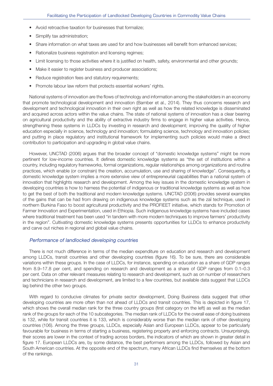- Avoid retroactive taxation for businesses that formalize;
- Simplify tax administration;
- Share information on what taxes are used for and how businesses will benefit from enhanced services;
- Rationalize business registration and licensing regimes;
- Limit licensing to those activities where it is justified on health, safety, environmental and other grounds;
- Make it easier to register business and producer associations:
- Reduce registration fees and statutory requirements;
- Promote labour law reform that protects essential workers' rights.

National systems of innovation are the flows of technology and information among the stakeholders in an economy that promote technological development and innovation (Bamber et al., 2014). They thus concerns research and development and technological innovation in their own right as well as how the related knowledge is disseminated and acquired across actors within the value chains. The state of national systems of innovation has a clear bearing on agricultural productivity and the ability of extractive industry firms to engage in higher value activities. Hence, strengthening these systems in LLDCs by investing in research and development; improving the quality of higher education especially in science, technology and innovation; formulating science, technology and innovation policies; and putting in place regulatory and institutional framework for implementing such policies would make a direct contribution to participation and upgrading in global value chains.

However, UNCTAD (2006) argues that the broader concept of "domestic knowledge systems" might be more pertinent for low-income countries. It defines domestic knowledge systems as "the set of institutions within a country, including regulatory frameworks, formal organizations, regular relationships among organizations and routine practices, which enable (or constrain) the creation, accumulation, use and sharing of knowledge". Consequently, a domestic knowledge system implies a more extensive view of entrepreneurial capabilities than a national system of innovation that highlights research and development. Among the key issues in the domestic knowledge system in developing countries is how to harness the potential of indigenous or traditional knowledge systems as well as how to get the best of both the traditional and modern knowledge systems. UNCTAD (2006) provides several examples of the gains that can be had from drawing on indigenous knowledge systems such as the zaï technique, used in northern Burkina Faso to boost agricultural productivity and the PROFIEET initiative, which stands for Promotion of Farmer Innovation and Experimentation, used in Ethiopia. Such indigenous knowledge systems have included cases where traditional treatment has been used "in tandem with more modern techniques to improve farmers' productivity in the region". Cultivating domestic knowledge systems presents opportunities for LLDCs to enhance productivity and carve out niches in regional and global value chains.

#### Performance of landlocked developing countries

There is not much difference in terms of the median expenditure on education and research and development among LLDCs, transit countries and other developing countries (figure 16). To be sure, there are considerable variations within these groups. In the case of LLDCs, for instance, spending on education as a share of GDP ranges from 8.9–17.8 per cent, and spending on research and development as a share of GDP ranges from 0.1–0.3 per cent. Data on other relevant measures relating to research and development, such as on number of researchers and technicians in research and development, are limited to a few countries, but available data suggest that LLDCs lag behind the other two groups.

With regard to conducive climates for private sector development, Doing Business data suggest that other developing countries are more often than not ahead of LLDCs and transit countries. This is depicted in figure 17, which shows the overall median rank for the three country groups (first category on the left) as well as the median rank of the groups for each of the 10 subcategories. The median rank of LLDCs for the overall ease of doing business is 132, while for transit countries it is 133, which is considerably worse than the median rank of other developing countries (106). Among the three groups, LLDCs, especially Asian and European LLDCs, appear to be particularly favourable for business in terms of starting a business, registering property and enforcing contracts. Unsurprisingly, their scores are lower in the context of trading across borders, the indicators of which are shown in greater detail in figure 17. European LLDCs are, by some distance, the best performers among the LLDCs, followed by Asian and South American countries. At the opposite end of the spectrum, many African LLDCs find themselves at the bottom of the rankings.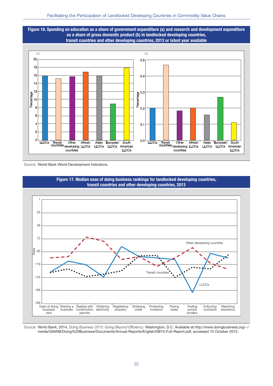**Figure 16. Spending on education as a share of government expenditure (a) and research and development expenditure as a share of gross domestic product (b) in landlocked developing countries, transit countries and other developing countries, 2013 or latest year available** 



Source: World Bank World Development Indicators.





Source: World Bank, 2014, Doing Business 2015: Going Beyond Efficiency. Washington, D.C. Available at http://www.doingbusiness.org/~/ media/GIAWB/Doing%20Business/Documents/Annual-Reports/English/DB15-Full-Report.pdf, accessed 15 October 2015.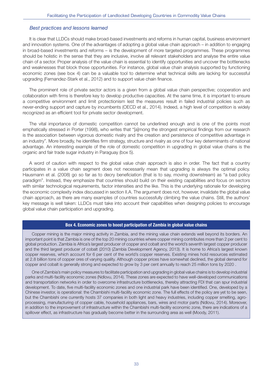#### Best practices and lessons learned

It is clear that LLDCs should make broad-based investments and reforms in human capital, business environment and innovation systems. One of the advantages of adopting a global value chain approach – in addition to engaging in broad-based investments and reforms – is the development of more targeted programmes. These programmes should be holistic in the sense that they are inclusive, involve all relevant stakeholders and analyse the entire value chain of a sector. Proper analysis of the value chain is essential to identify opportunities and uncover the bottlenecks and weaknesses that block those opportunities. For instance, global value chain analysis supported by functioning economic zones (see box 4) can be a valuable tool to determine what technical skills are lacking for successful upgrading (Fernandez-Stark et al., 2012) and to support value chain finance.

The prominent role of private sector actors is a given from a global value chain perspective; cooperation and collaboration with firms is therefore key to develop productive capacities. At the same time, it is important to ensure a competitive environment and limit protectionism lest the measures result in failed industrial policies such as never-ending support and capture by incumbents (OECD et al., 2014). Indeed, a high level of competition is widely recognized as an efficient tool for private sector development.

The vital importance of domestic competition cannot be underlined enough and is one of the points most emphatically stressed in Porter (1998), who writes that "[a]mong the strongest empirical findings from our research is the association between vigorous domestic rivalry and the creation and persistence of competitive advantage in an industry". More broadly, he identifies firm strategy, structure and rivalry as one of four key determinants of national advantage. An interesting example of the role of domestic competition in upgrading in global value chains is the organic and fair trade sugar industry in Paraguay (box 5).

A word of caution with respect to the global value chain approach is also in order. The fact that a country participates in a value chain segment does not necessarily mean that upgrading is always the optimal policy. Hausmann et al. (2008) go so far as to decry beneficiation (that is to say, moving downstream) as "a bad policy paradigm". Instead, they emphasize that countries should build on their existing capabilities and focus on sectors with similar technological requirements, factor intensities and the like. This is the underlying rationale for developing the economic complexity index discussed in section II.A. The argument does not, however, invalidate the global value chain approach, as there are many examples of countries successfully climbing the value chains. Still, the authors' key message is well taken: LLDCs must take into account their capabilities when designing policies to encourage global value chain participation and upgrading.

#### **Box 4. Economic zones to boost participation of Zambia in global value chains**

Copper mining is the major mining activity in Zambia, and the mining value chain extends well beyond its borders. An important point is that Zambia is one of the top 20 mining countries where copper mining contributes more than 2 per cent to global production. Zambia is Africa's largest producer of copper and cobalt and the world's seventh largest copper producer and the third largest producer of cobalt (2010) (Zambia Development Agency, 2013). It is home to Africa's largest known copper reserves, which account for 6 per cent of the world's copper reserves. Existing mines hold resources estimated at 2.8 billion tons of copper ores of varying quality. Although copper prices have somewhat declined, the global demand for copper and cobalt is generally strong and expected to grow by 3 per cent annually to reach 25 million tons by 2020 .

One of Zambia's main policy measures to facilitate participation and upgrading in global value chains is to develop industrial parks and multi-facility economic zones (Ndlovu, 2014). These zones are expected to have well-developed communications and transportation networks in order to overcome infrastructure bottlenecks, thereby attracting FDI that can spur industrial development. To date, five multi-facility economic zones and one industrial park have been identified. One, developed by a Chinese investor, is operational: the Chambishi multi-facility economic zone. The full effects of the policy are yet to be seen, but the Chambishi one currently hosts 37 companies in both light and heavy industries, including copper smelting, agroprocessing, manufacturing of copper cable, household appliances, bars, wires and motor parts (Ndlovu, 2014). Moreover, in addition to the improvement of infrastructure within the Chambishi multi-facility economic zone, there are indications of a spillover effect, as infrastructure has gradually become better in the surrounding area as well (Moody, 2011).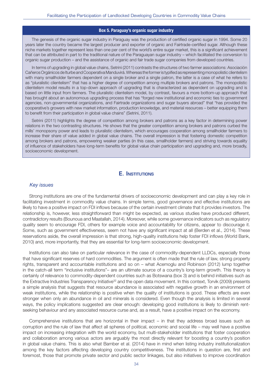#### **Box 5. Paraguay's organic sugar industry**

The genesis of the organic sugar industry in Paraguay was the production of certified organic sugar in 1994. Some 20 years later the country became the largest producer and exporter of organic and Fairtrade-certified sugar. Although these niche markets together represent less than one per cent of the world's entire sugar market, this is a significant achievement that can be attributed in part to the traditional nature of the Paraguayan sugar industry – which facilitated the conversion to organic sugar production – and the assistance of organic and fair trade sugar companies from developed countries.

In terms of upgrading in global value chains, Setrini (2011) contrasts the structures of two farmer associations: Asociación Cañeros Orgánicos de Iturbe and Cooperativa Manduvirá. Whereas the former is typified as representing monopolistic clientelism with many smallholder farmers dependent on a single broker and a single patron, the latter is a case of what he refers to as "pluralistic clientelism" that has a higher degree of competition among multiple brokers and patrons. The monopolistic clientelism model results in a top-down approach of upgrading that is characterized as dependent on upgrading and is based on little input from farmers. The pluralistic clientelism model, by contrast, favours a more bottom-up approach that has brought about an autonomous upgrading process that has "forged new institutional and economic ties to government agencies, non-governmental organizations, and Fairtrade organizations and sugar buyers abroad" that "has provided the cooperative's growers with new market information, production knowledge, and material resources – better equipping them to benefit from their participation in global value chains" (Setrini, 2011).

Setrini (2011) highlights the degree of competition among brokers and patrons as a key factor in determining power relations in the two contrasting structures. He shows that the greater competition among brokers and patrons curbed the mills' monopsony power and leads to pluralistic clientelism, which encourages cooperation among smallholder farmers to increase their share of value added in global value chains. The overall impression is that fostering domestic competition among brokers and patrons, empowering weaker parties (in this case, smallholder farmers) and striving towards equality of influence of stakeholders have long-term benefits for global value chain participation and upgrading and, more broadly, socioeconomic development.

#### **E. INSTITUTIONS**

#### Key issues

Strong institutions are one of the fundamental drivers of socioeconomic development and can play a key role in facilitating investment in commodity value chains. In simple terms, good governance and effective institutions are likely to have a positive impact on FDI inflows because of the certain investment climate that it provides investors. The relationship is, however, less straightforward than might be expected, as various studies have produced different, contradictory results (Bounoua and Maatallah, 2014). Moreover, while some governance indicators such as regulatory quality seem to encourage FDI, others for example voice and accountability for citizens, appear to discourage it. Some, such as government effectiveness, seem not have any significant impact at all (Berden et al., 2014). These reservations aside, the overall impression is that strong, high-quality institutions help foster FDI inflows (World Bank, 2010) and, more importantly, that they are essential for long-term socioeconomic development.

Institutions can also take on particular relevance in the case of commodity-dependent LLDCs, especially those that have significant reserves of hard commodities. The argument is often made that the rule of law, strong property rights, transparent and accountable institutions and so on – what Acemoglu and Robinson (2012) lump together in the catch-all term "inclusive institutions"– are an ultimate source of a country's long-term growth. This theory is certainly of relevance to commodity-dependent countries such as Botswana (box 3) and is behind initiatives such as the Extractive Industries Transparency Initiative<sup>32</sup> and the open data movement. In this context, Torvik (2009) presents a simple analysis that suggests that resource abundance is associated with negative growth in an environment of weak institutions, while the relationship is positive when the quality of institutions is good. These effects are even stronger when only an abundance in oil and minerals is considered. Even though the analysis is limited in several ways, the policy implications suggested are clear enough: developing good institutions is likely to diminish rentseeking behaviour and any associated resource curse and, as a result, have a positive impact on the economy.

Comprehensive institutions that are horizontal in their impact – in that they address broad issues such as corruption and the rule of law that affect all spheres of political, economic and social life – may well have a positive impact on increasing integration with the world economy, but multi-stakeholder institutions that foster cooperation and collaboration among various actors are arguably the most directly relevant for boosting a country's position in global value chains. This is also what Bamber et al. (2014) have in mind when listing industry institutionalization among the key factors affecting developing country competitiveness. The institutions in question are, first and foremost, those that promote private sector and public sector linkages, but also initiatives to improve coordination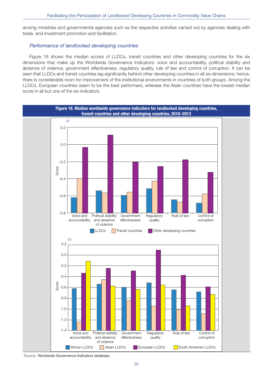among ministries and governmental agencies such as the respective activities carried out by agencies dealing with trade, and investment promotion and facilitation.

#### Performance of landlocked developing countries

Figure 18 shows the median scores of LLDCs, transit countries and other developing countries for the six dimensions that make up the Worldwide Governance Indicators: voice and accountability, political stability and absence of violence, government effectiveness, regulatory quality, rule of law and control of corruption. It can be seen that LLDCs and transit countries lag significantly behind other developing countries in all six dimensions; hence, there is considerable room for improvement of the institutional environments in countries of both groups. Among the LLDCs, European countries seem to be the best performers, whereas the Asian countries have the lowest median score in all but one of the six indicators.



Source: Worldwide Governance Indicators database.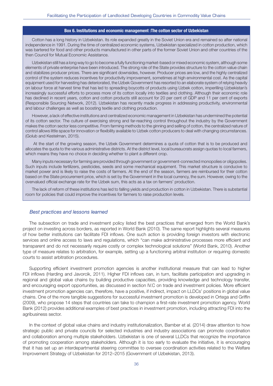#### **Box 6. Institutions and economic management :The cotton sector of Uzbekistan**

Cotton has a long history in Uzbekistan. Its role expanded greatly in the Soviet Union era and remained so after national independence in 1991. During the time of centralized economic systems, Uzbekistan specialized in cotton production, which was bartered for food and other products manufactured in other parts of the former Soviet Union and other countries of the then Council for Mutual Economic Assistance.

Uzbekistan still has a long way to go to become a fully functioning market-based or mixed economic system, although some elements of private enterprise have been introduced. The strong role of the State provides structure to the cotton value chain and stabilizes producer prices. There are significant downsides, however. Producer prices are low, and the highly centralized control of the system reduces incentives for productivity improvement, sometimes at high environmental cost. As the capital equipment used for harvesting has deteriorated, the Uzbek Government has resorted to an elaborate system of relying heavily on labour force at harvest time that has led to spreading boycotts of products using Uzbek cotton, imperilling Uzbekistan's increasingly successful efforts to process more of its cotton locally into textiles and clothing. Although their economic role has declined in recent years, cotton and cotton products still account for 20 per cent of GDP and 11 per cent of exports (Responsible Sourcing Network, 2012). Uzbekistan has recently made progress in addressing productivity, environmental and labour challenges as well as boosting textile and clothing production.

However, a lack of effective institutions and centralized economic management in Uzbekistan has undermined the potential of its cotton sector. The culture of exercising strong and far-reaching control throughout the industry by the Government makes the cotton sector less competitive. From farming methods to the ginning and selling of cotton, the centralized nature of control allows little space for innovation or flexibility available to Uzbek cotton producers to deal with changing circumstances. (Golub and Kestelman, 2015).

 At the start of the growing season, the Uzbek Government determines a quota of cotton that is to be produced and allocates the quota to the various administrative districts. At the district level, local bureaucrats assign quotas to local farmers, which means they have no choice in deciding whether to plant a different crop.

Many inputs necessary for farming are provided through government or government-connected monopolies or oligopolies. Such inputs include fertilizers, pesticides, seeds and some mechanical equipment. This market structure is conducive to market power and is likely to raise the costs of farmers. At the end of the season, farmers are reimbursed for their cotton based on the State procurement price, which is set by the Government in the local currency, the sum. However, owing to the overvalued official exchange rate for the Uzbek sum, this acts as a tax on farmers' production.

The lack of reform of these institutions has led to falling yields and production in cotton in Uzbekistan. There is substantial room for policies that could improve the incentives for farmers to raise production levels.

#### Best practices and lessons learned

The subsection on trade and investment policy listed the best practices that emerged from the World Bank's project on investing across borders, as reported in World Bank (2010). The same report highlights several measures of how better institutions can facilitate FDI inflows. One such action is providing foreign investors with electronic services and online access to laws and regulations, which "can make administrative processes more efficient and transparent and do not necessarily require costly or complex technological solutions" (World Bank, 2010). Another type of measure relates to arbitration, for example, setting up a functioning arbitral institution or requiring domestic courts to assist arbitration procedures.

Supporting efficient investment promotion agencies is another institutional measure that can lead to higher FDI inflows (Harding and Javorcik, 2011). Higher FDI inflows can, in turn, facilitate participation and upgrading in regional and global value chains by building productive capacities, providing knowledge and technology transfer, and encouraging export opportunities, as discussed in section IV.C on trade and investment policies. More efficient investment promotion agencies can, therefore, have a positive, if indirect, impact on LLDCs' positions in global value chains. One of the more tangible suggestions for successful investment promotion is developed in Ortega and Griffin (2009), who propose 14 steps that countries can take to champion a first-rate investment promotion agency. World Bank (2012) provides additional examples of best practices in investment promotion, including attracting FDI into the agribusiness sector.

In the context of global value chains and industry institutionalization, Bamber et al. (2014) draw attention to how strategic public and private councils for selected industries and industry associations can promote coordination and collaboration among multiple stakeholders. Uzbekistan is one of several LLDCs that recognize the importance of promoting cooperation among stakeholders. Although it is too early to evaluate the initiative, it is encouraging that it has set up an interdepartmental steering committee to oversee coordination activities related to the Welfare Improvement Strategy of Uzbekistan for 2012–2015 (Government of Uzbekistan, 2013).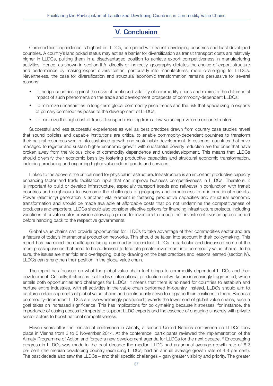## **V. Conclusion**

Commodities dependence is highest in LLDCs, compared with transit developing countries and least developed countries. A country's landlocked status may act as a barrier for diversification as transit transport costs are relatively higher in LLDCs, putting them in a disadvantaged position to achieve export competitiveness in manufacturing activities. Hence, as shown in section II.A, directly or indirectly, geography dictates the choice of export structure and performance by making export diversification, particularly into manufactures, more challenging for LLDCs. Nevertheless, the case for diversification and structural economic transformation remains persuasive for several reasons:

- To hedge countries against the risks of continued volatility of commodity prices and minimize the detrimental impact of such phenomena on the trade and development prospects of commodity-dependent LLDCs;
- To minimize uncertainties in long-term global commodity price trends and the risk that specializing in exports of primary commodities poses to the development of LLDCs;
- To minimize the high cost of transit transport resulting from a low-value high-volume export structure.

Successful and less successful experiences as well as best practices drawn from country case studies reveal that sound policies and capable institutions are critical to enable commodity-dependent countries to transform their natural resources wealth into sustained growth and sustainable development. In essence, countries that have managed to register and sustain higher economic growth with substantial poverty reduction are the ones that have broken away from the vicious circle of commodity dependence and underdevelopment. This means that LLDCs should diversify their economic basis by fostering productive capacities and structural economic transformation, including producing and exporting higher value added goods and services.

Linked to the above is the critical need for physical infrastructure. Infrastructure is an important productive capacity enhancing factor and trade facilitation input that can improve business competitiveness in LLDCs. Therefore, it is important to build or develop infrastructure, especially transport (roads and railways) in conjunction with transit countries and neighbours to overcome the challenges of geography and remoteness from international markets. Power (electricity) generation is another vital element in fostering productive capacities and structural economic transformation and should be made available at affordable costs that do not undermine the competitiveness of producers and exporters. LLDCs should also consider effective options for financing infrastructure projects, including variations of private sector provision allowing a period for investors to recoup their investment over an agreed period before handing back to the respective governments.

Global value chains can provide opportunities for LLDCs to take advantage of their commodities sector and are a feature of today's international production networks. This should be taken into account in their policymaking. This report has examined the challenges facing commodity-dependent LLDCs in particular and discussed some of the most pressing issues that need to be addressed to facilitate greater investment into commodity value chains. To be sure, the issues are manifold and overlapping, but by drawing on the best practices and lessons learned (section IV), LLDCs can strengthen their position in the global value chain.

The report has focused on what the global value chain tool brings to commodity-dependent LLDCs and their development. Critically, it stresses that today's international production networks are increasingly fragmented, which entails both opportunities and challenges for LLDCs. It means that there is no need for countries to establish and nurture entire industries, with all activities in the value chain performed in-country. Instead, LLDCs should aim to capture certain segments of global value chains and continuously strive to upgrade their positions in them. Because commodity-dependent LLDCs are overwhelmingly positioned towards the lower end of global value chains, such a goal takes on increased significance. This has implications for policymaking because it stresses, for instance, the importance of easing access to imports to support LLDC exports and the essence of engaging sincerely with private sector actors to boost national competitiveness.

Eleven years after the ministerial conference in Almaty, a second United Nations conference on LLDCs took place in Vienna from 3 to 5 November 2014. At the conference, participants reviewed the implementation of the Almaty Programme of Action and forged a new development agenda for LLDCs for the next decade.<sup>33</sup> Encouraging progress in LLDCs was made in the past decade: the median LLDC had an annual average growth rate of 6.2 per cent (the median developing country (excluding LLDCs) had an annual average growth rate of 4.3 per cent). The past decade also saw the LLDCs – and their specific challenges – gain greater visibility and priority. The greater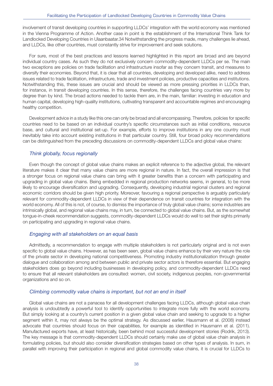involvement of transit developing countries in supporting LLDCs' integration with the world economy was mentioned in the Vienna Programme of Action. Another case in point is the establishment of the International Think Tank for Landlocked Developing Countries in Ulaanbaatar.34 Notwithstanding the progress made, many challenges lie ahead, and LLDCs, like other countries, must constantly strive for improvement and seek solutions.

For sure, most of the best practices and lessons learned highlighted in this report are broad and are beyond individual country cases. As such they do not exclusively concern commodity-dependent LLDCs per se. The main two exceptions are policies on trade facilitation and infrastructure insofar as they concern transit, and measures to diversify their economies. Beyond that, it is clear that all countries, developing and developed alike, need to address issues related to trade facilitation, infrastructure, trade and investment policies, productive capacities and institutions. Notwithstanding this, these issues are crucial and should be viewed as more pressing priorities in LLDCs than, for instance, in transit developing countries. In this sense, therefore, the challenges facing countries vary more by degree than by kind. The broad actions needed to tackle them are, in the main, familiar: investing in education and human capital, developing high-quality institutions, cultivating transparent and accountable regimes and encouraging healthy competition.

Development advice in a study like this one can only be broad and all encompassing. Therefore, policies for specific countries need to be based on an individual country's specific circumstances such as initial conditions, resource base, and cultural and institutional set-up. For example, efforts to improve institutions in any one country must inevitably take into account existing institutions in that particular country. Still, four broad policy recommendations can be distinguished from the preceding discussions on commodity-dependent LLDCs and global value chains:

#### Think globally, focus regionally

Even though the concept of global value chains makes an explicit reference to the adjective global, the relevant literature makes it clear that many value chains are more regional in nature. In fact, the overall impression is that a stronger focus on regional value chains can bring with it greater benefits than a concern with participating and upgrading in global value chains. Being embedded in regional production networks seems, in general, to be more likely to encourage diversification and upgrading. Consequently, developing industrial regional clusters and regional economic corridors should be given high priority. Moreover, favouring a regional perspective is arguably particularly relevant for commodity-dependent LLDCs in view of their dependence on transit countries for integration with the world economy. All of this is not, of course, to dismiss the importance of truly global value chains; some industries are intrinsically global, and regional value chains may, in turn, be connected to global value chains. But, as the somewhat tongue-in-cheek recommendation suggests, commodity-dependent LLDCs would do well to set their sights primarily on participating and upgrading in regional value chains.

#### Engaging with all stakeholders on an equal basis

Admittedly, a recommendation to engage with multiple stakeholders is not particularly original and is not even specific to global value chains. However, as has been seen, global value chains enhance by their very nature the role of the private sector in developing national competitiveness. Promoting industry institutionalization through greater dialogue and collaboration among and between public and private sector actors is therefore essential. But engaging stakeholders does go beyond including businesses in developing policy, and commodity-dependent LLDCs need to ensure that all relevant stakeholders are consulted: women, civil society, indigenous peoples, non-governmental organizations and so on.

#### Climbing commodity value chains is important, but not an end in itself

Global value chains are not a panacea for all development challenges facing LLDCs, although global value chain analysis is undoubtedly a powerful tool to identify opportunities to integrate more fully with the world economy. But simply looking at a country's current position in a given global value chain and seeking to upgrade to a higher segment within it, may not always be the optimal strategy. As discussed earlier, Hausmann et al. (2008) instead advocate that countries should focus on their capabilities, for example as identified in Hausmann et al. (2011). Manufactured exports have, at least historically, been behind most successful development stories (Rodrik, 2013). The key message is that commodity-dependent LLDCs should certainly make use of global value chain analysis in formulating policies, but should also consider diversification strategies based on other types of analysis. In sum, in parallel with improving their participation in regional and global commodity value chains, it is crucial for LLDCs to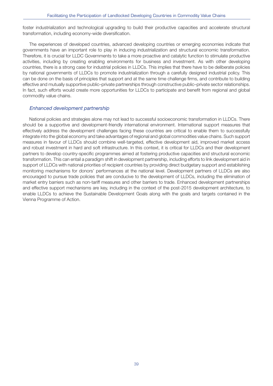foster industrialization and technological upgrading to build their productive capacities and accelerate structural transformation, including economy-wide diversification.

The experiences of developed countries, advanced developing countries or emerging economies indicate that governments have an important role to play in inducing industrialization and structural economic transformation. Therefore, it is crucial for LLDC Governments to take a more proactive and catalytic function to stimulate productive activities, including by creating enabling environments for business and investment. As with other developing countries, there is a strong case for industrial policies in LLDCs. This implies that there have to be deliberate policies by national governments of LLDCs to promote industrialization through a carefully designed industrial policy. This can be done on the basis of principles that support and at the same time challenge firms, and contribute to building effective and mutually supportive public–private partnerships through constructive public–private sector relationships. In fact, such efforts would create more opportunities for LLDCs to participate and benefit from regional and global commodity value chains.

#### Enhanced development partnership

National policies and strategies alone may not lead to successful socioeconomic transformation in LLDCs. There should be a supportive and development-friendly international environment. International support measures that effectively address the development challenges facing these countries are critical to enable them to successfully integrate into the global economy and take advantages of regional and global commodities value chains. Such support measures in favour of LLDCs should combine well-targeted, effective development aid, improved market access and robust investment in hard and soft infrastructure. In this context, it is critical for LLDCs and their development partners to develop country-specific programmes aimed at fostering productive capacities and structural economic transformation. This can entail a paradigm shift in development partnership, including efforts to link development aid in support of LLDCs with national priorities of recipient countries by providing direct budgetary support and establishing monitoring mechanisms for donors' performances at the national level. Development partners of LLDCs are also encouraged to pursue trade policies that are conducive to the development of LLDCs, including the elimination of market entry barriers such as non-tariff measures and other barriers to trade. Enhanced development partnerships and effective support mechanisms are key, including in the context of the post-2015 development architecture, to enable LLDCs to achieve the Sustainable Development Goals along with the goals and targets contained in the Vienna Programme of Action.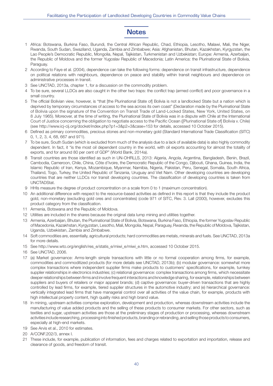## **Notes**

- 1 Africa: Botswana, Burkina Faso, Burundi, the Central African Republic, Chad, Ethiopia, Lesotho, Malawi, Mali, the Niger, Rwanda, South Sudan, Swaziland, Uganda, Zambia and Zimbabwe; Asia: Afghanistan, Bhutan, Kazakhstan, Kyrgyzstan, the Lao People's Democratic Republic, Mongolia, Nepal, Tajikistan, Turkmenistan and Uzbekistan; Europe: Armenia, Azerbaijan, the Republic of Moldova and the former Yugoslav Republic of Macedonia; Latin America: the Plurinational State of Bolivia, Paraguay.
- 2 According to Faye et al. (2004), dependence can take the following forms: dependence on transit infrastructure, dependence on political relations with neighbours, dependence on peace and stability within transit neighbours and dependence on administrative processes in transit.
- 3 See UNCTAD, 2013a, chapter 1, for a discussion on the commodity problem.
- 4 To be sure, several LLDCs are also caught in the other two traps: the conflict trap (armed conflict) and poor governance in a small country.
- 5 The official Bolivian view, however, is "that [the Plurinational State of] Bolivia is not a landlocked State but a nation which is deprived by temporary circumstances of access to the sea across its own coast" (Declaration made by the Plurinational State of Bolivia upon the signature of the Convention on Transit Trade of Land-Locked States, New York, United States, on 8 July 1965). Moreover, at the time of writing, the Plurinational State of Bolivia was in a dispute with Chile at the International Court of Justice concerning the obligation to negotiate access to the Pacific Ocean ([Plurinational State of] Bolivia v. Chile) (see http://www.icj-cij.org/docket/index.php?p1=3&p2=3&case=153 for details, accessed 10 October 2015).
- 6 Defined as primary commodities, precious stones and non-monetary gold (Standard International Trade Classification (SITC) 0, 1, 2, 3, 4, 68, 667 and 971).
- 7 To be sure, South Sudan (which is excluded from much of the analysis due to a lack of available data) is also highly commodity dependent. In fact, it "is the most oil dependent country in the world, with oil exports accounting for almost the totality of exports, and for around 80 per cent of GDP" (World Bank, 2014a).
- 8 Transit countries are those identified as such in UN-OHRLLS, 2013: Algeria, Angola, Argentina, Bangladesh, Benin, Brazil, Cambodia, Cameroon, Chile, China, Côte d'Ivoire, the Democratic Republic of the Congo, Djibouti, Ghana, Guinea, India, the Islamic Republic of Iran, Kenya, Mozambique, Myanmar, Namibia, Nigeria, Pakistan, Peru, Senegal, Somalia, South Africa, Thailand, Togo, Turkey, the United Republic of Tanzania, Uruguay and Viet Nam. Other developing countries are developing countries that are neither LLDCs nor transit developing countries. The classification of developing countries is taken from UNCTADStat.
- 9 HHIs measure the degree of product concentration on a scale from 0 to 1 (maximum concentration).
- 10 An additional difference with respect to the resource-based activities as defined in this report is that they include the product gold, non-monetary (excluding gold ores and concentrates) (code 971 of SITC, Rev. 3. Lall (2000), however, excludes this product category from the classification.
- 11 Armenia, Botswana and the Republic of Moldova.
- 12 Utilities are included in the shares because the original data lump mining and utilities together.
- 13 Armenia, Azerbaijan, Bhutan, the Plurinational State of Bolivia, Botswana, Burkina Faso, Ethiopia, the former Yugoslav Republic of Macedonia, Kazakhstan, Kyrgyzstan, Lesotho, Mali, Mongolia, Nepal, Paraguay, Rwanda, the Republic of Moldova, Tajikistan, Uganda, Uzbekistan, Zambia and Zimbabwe.
- 14 Soft commodities are, essentially, agricultural products; hard commodities are metals, minerals and fuels. See UNCTAD, 2013a for more details.
- 15 See http://www.wto.org/english/res\_e/statis\_e/miwi\_e/miwi\_e.htm, accessed 10 October 2015.
- 16 See UNCTAD, 2006.
- 17 (a) Market governance: Arms-length simple transactions with little or no formal cooperation among firms, for example, commodities and commoditized products (for more details see UNCTAD, 2013b); (b) modular governance: somewhat more complex transactions where independent supplier firms make products to customers' specifications, for example, turnkey supplier relationships in electronics industries; (c) relational governance: complex transactions among firms, which necessitate deeper relationships between firms and involve frequent interactions and knowledge sharing, for example, relationships between suppliers and buyers of retailers or major apparel brands; (d) captive governance: buyer-driven transactions that are highly controlled by lead firms, for example, tiered supplier structures in the automotive industry; and (e) hierarchical governance: vertically integrated lead firms that have managerial control over all activities of the value chain, for example, products with high intellectual property content, high quality risks and high brand value.
- 18 In mining, upstream activities comprise exploration, development and production, whereas downstream activities include the manufacturing of value added products and the selling of these products to consumer markets. For other sectors, such as textiles and sugar, upstream activities are those at the preliminary stages of production or processing, whereas downstream activities include researching, processing into finished products, branding or rebranding, and selling those products to consumers, especially at high-end markets.
- 19 See Arvis et al., 2010 for estimates.
- 20 A/CONF.202/3, annex I.
- 21 These include, for example, publication of information, fees and charges related to exportation and importation, release and clearance of goods, and freedom of transit.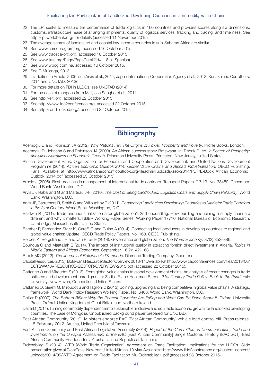- 22 The LPI seeks to measure the performance of trade logistics in 160 countries and provides scores along six dimensions: customs, infrastructure, ease of arranging shipments, quality of logistics services, tracking and tracing, and timeliness. See http://lpi.worldbank.org/ for details (accessed 11 November 2015).
- 23 The average scores of landlocked and coastal low-income countries in sub-Saharan Africa are similar.
- 24 See www.carecprogram.org, accessed 16 October 2015.
- 25 See www.traceca-org.org, accessed 16 October 2015.
- 26 See www.iirsa.org/Page/PageDetail?Id=118 (in Spanish).
- 27 See www.wbcg.com.na, accessed 16 October 2015.
- 28 See G Mulenga, 2013.
- 29 In addition to Arnold, 2006, see Arvis et al., 2011; Japan International Cooperation Agency et al., 2013; Kunaka and Carruthers, 2014 and UNCTAD, 2013c.
- 30 For more details on FDI in LLDCs, see UNCTAD (2014).
- 31 For the case of mangoes from Mali, see Sangho et al., 2011.
- 32 See http://eiti.org, accessed 22 October 2015.
- 33 See http://www.lldc2conference.org, accessed 22 October 2015.
- 34 See http://land-locked.org/, accessed 22 October 2015.

## **Bibliography**

Acemoglu D and Robinson JA (2012). Why Nations Fail: The Origins of Power, Prosperity and Poverty, Profile Books. London. Acemoglu D, Johnson S and Robinson JA (2003). An African success story: Botswana. In: Rodrik D, ed. In Search of Prosperity:

- Analytical Narratives on Economic Growth. Princeton University Press. Princeton, New Jersey, United States.
- African Development Bank, Organization for Economic and Cooperation and Development, and United Nations Development Programme (2014). African Economic Outlook 2014: Global Value Chains and Africa's Industrialization. OECD Publishing. Paris. Available at http://www.africaneconomicoutlook.org/fileadmin/uploads/aeo/2014/PDF/E-Book\_African\_Economic\_ Outlook\_2014.pdf (accessed 23 October 2015).
- Arnold J (2006). Best practices in management of international trade corridors. Transport Papers. TP-13. No. 38459. December. World Bank. Washington, D.C.
- Arvis JF, Raballand G and Marteau J-F (2010). The Cost of Being Landlocked: Logistics Costs and Supply Chain Reliability. World Bank. Washington, D.C.
- Arvis JF, Carruthers R, Smith G and Willoughby C (2011). Connecting Landlocked Developing Countries to Markets: Trade Corridors in the 21st Century. World Bank. Washington, D.C.
- Baldwin R (2011). Trade and industrialization after globalization's 2nd unbundling: How building and joining a supply chain are different and why it matters. NBER Working Paper Series, Working Paper 17716. National Bureau of Economic Research. Cambridge, Massachusetts, United States.
- Bamber P, Fernandez-Stark K, Gereffi G and Guinn A (2014). Connecting local producers in developing countries to regional and global value chains: Update. OECD Trade Policy Papers. No. 160. OECD Publishing.
- Berden K, Bergstrand JH and van Etten E (2014). Governance and globalization. The World Economy. 37(3):353–386.
- Bounoua C and Maatallah S (2014). The impact of institutional quality in attracting foreign direct investment in Algeria. Topics in Middle Eastern and African Economies. September. 16(2):142–163.
- Brook MC (2012). The Journey of Botswana's Diamonds. Diamond Trading Company. Gaborone.
- Capital Resources (2013). Botswana Resource Sector Overview 2013/14. Available at http://www.capconferences.com/files/2013/06/ BOTSWANA-RESOURCE-SECTOR-OVERVIEW-2013.pdf (accessed 22 October 2015).
- Cattaneo O and Miroudot S (2013). From global value chains to global development chains: An analysis of recent changes in trade patterns and development paradigms. In: Zedillo E and Hoekman B, eds. 21st Century Trade Policy: Back to the Past? Yale University. New Haven, Connecticut, United States.
- Cattaneo O, Gereffi G, Miroudot S and Taglioni D (2013). Joining, upgrading and being competitive in global value chains: A strategic framework. World Bank Policy Research Working Paper. No. 6406. World Bank. Washington, D.C.
- Collier P (2007). The Bottom Billion: Why the Poorest Countries Are Failing and What Can Be Done About It. Oxford University Press. Oxford, United Kingdom of Great Britain and Northern Ireland.
- Dalrai D (2014). Turning commodity dependence into sustainable, inclusive and equitable economic growth for landlocked developing countries: The case of Mongolia. Unpublished background paper prepared for UNCTAD.
- East African Community (2012). Ministers endorse EAC [East African Community] vehicle load control bill. Press release. 18 February 2012. Arusha, United Republic of Tanzania.
- East African Community and East African Legislative Assembly (2014). Report of the Committee on Communication, Trade and Investments on the On-spot Assessment of the EAC [East African Community] Single Customs Territory (EAC SCT). East African Community Headquarters. Arusha, United Republic of Tanzania.
- Erdenebileg S (2014). WTO IWorld Trade Organization] Agreement on Trade Facilitation: Implications for the LLDCs. Slide presentation given at Glen Cove, New York, United States. 10 May. Available at http://www.lldc2conference.org/custom-content/ uploads/2014/05/WTO-Agreement-on-Trade-Facilitation-Mr.-Erdenebileg1.pdf (accessed 23 October 2015).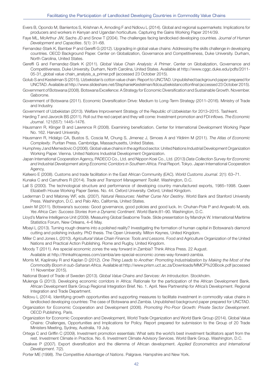- Evers B, Opondo M, Barrientos S, Krishnan A, Amoding F and Ndlovu L (2014). Global and regional supermarkets: Implications for producers and workers in Kenyan and Ugandan horticulture. Capturing the Gains Working Paper 2014/39.
- Faye ML, McArthur JW, Sachs JD and Snow T (2004). The challenges facing landlocked developing countries. Journal of Human Development and Capacities. 5(1): 31–68.
- Fernandez-Stark K, Bamber P and Gereffi G (2012). Upgrading in global value chains: Addressing the skills challenge in developing countries. OECD Background Paper. Center on Globalization, Governance and Competitiveness, Duke University. Durham, North Carolina, United States.
- Gereffi G and Fernandez-Stark K (2011). Global Value Chain Analysis: A Primer. Center on Globalization, Governance and Competitiveness. Duke University. Durham, North Carolina, United States. Available at http://www.cggc.duke.edu/pdfs/2011- 05-31\_global value chain\_analysis\_a\_primer.pdf (accessed 23 October 2015).
- Golub S and Kestelman S (2015). Uzbekistan's cotton value chain: Report to UNCTAD. Unpublished background paper prepared for UNCTAD. Available at http://www.slideshare.net/StephanieKestelman/lldcsuzbekistancottonfinal (accessed 23 October 2015).
- Government of Botswana (2008). Botswana Excellence: A Strategy for Economic Diversification and Sustainable Growth. November. Gaborone.
- Government of Botswana (2011). Economic Diversification Drive: Medium to Long-Term Strategy (2011–2016). Ministry of Trade and Industry.

Government of Uzbekistan (2013). Welfare Improvement Strategy of the Republic of Uzbekistan for 2013–2015. Tashkent.

- Harding T and Javorcik BS (2011). Roll out the red carpet and they will come: Investment promotion and FDI inflows. The Economic Journal. 121(557): 1445–1476.
- Hausmann R, Klinger B and Lawrence R (2008). Examining beneficiation. Center for International Development Working Paper No. 162. Harvard University.
- Hausmann R, Hidalgo CA, Bustos S, Coscia M, Chung S, Jimenez J, Simoes A and Yildirim M (2011). The Atlas of Economic Complexity. Puritan Press. Cambridge, Massachusetts, United States.
- Humphrey J and Memedovic O (2006). Global value chains in the agrifood sector. United Nations Industrial Development Organization Working Paper. Vienna. United Nations Industrial Development Organization.
- Japan International Cooperation Agency, PADECO Co., Ltd. and Nippon Koei Co., Ltd. (2013) Data Collection Survey for Economic and Industrial Development along Economic Corridors in Southern Africa. Final Report. Tokyo. Japan International Cooperation Agency,
- Kafeero E (2008). Customs and trade facilitation in the East African Community (EAC). World Customs Journal. 2(1): 63–71.

Kunaka C and Carruthers R (2014). Trade and Transport Management Toolkit. Washington, D.C.

- Lall S (2000). The technological structure and performance of developing country manufactured exports, 1985–1998. Queen Elizabeth House Working Paper Series. No. 44. Oxford University. Oxford, United Kingdom.
- Lederman D and Maloney WF, eds. (2007). Natural Resources: Neither Curse Nor Destiny. World Bank and Stanford University Press. Washington, D.C. and Palo Alto, California, United States.
- Lewin M (2011). Botswana's success: Good governance, good policies and good luck. In: Chuhan-Pole P and Angwafo M, eds. Yes Africa Can: Success Stories from a Dynamic Continent. World Bank:81–90. Washington, D.C.
- Lloyd's Marine Intelligence Unit (2009). Measuring Global Seaborne Trade. Slide presentation by Mandryk W. International Maritime Statistics Forum, New Orleans, 4–6 May.
- Mbayi L (2013). Turning rough dreams into a polished reality? Investigating the formation of human capital in Botswana's diamond cutting and polishing industry. PhD thesis. The Open University. Milton Keynes, United Kingdom.
- Miller C and Jones L (2010). Agricultural Value Chain Finance: Tools and Lessons. Food and Agriculture Organization of the United Nations and Practical Action Publishing. Rome and Rugby, United Kingdom.
- Moody T (2011). Are special economic zones the way forward in Zambia? Think Africa Press. 22 August.
- Available at http://thinkafricapress.com/zambia/are-special-economic-zones-way-forward-zambia.
- Morris M, Kaplinsky R and Kaplan D (2012). One Thing Leads to Another: Promoting Industrialization by Making the Most of the Commodity Boom in sub-Saharan Africa. Available at http://www.prism.uct.ac.za/Downloads/MMCP%20Book.pdf (accessed 11 November 2015).
- National Board of Trade of Sweden (2013). Global Value Chains and Services: An Introduction. Stockholm.
- Mulenga G (2013). Developing economic corridors in Africa: Rationale for the participation of the African Development Bank. African Development Bank Group Regional Integration Brief. No. 1. April. New Partnership for Africa's Development. Regional Integration and Trade Department.
- Ndlovu L (2014). Identifying growth opportunities and supporting measures to facilitate investment in commodity value chains in landlocked developing countries: The case of Botswana and Zambia. Unpublished background paper prepared for UNCTAD.
- Organization for Economic Cooperation and Development (2006). Promoting Pro-Poor Growth: Private Sector Development. OECD Publishing. Paris.
- Organization for Economic Cooperation and Development, World Trade Organization and World Bank Group (2014). Global Value Chains: Challenges, Opportunities and Implications for Policy. Report prepared for submission to the Group of 20 Trade Ministers Meeting, Sydney, Australia, 19 July.
- Ortega C and Griffin C (2009). Investment promotion essentials: What sets the world's best investment facilitators apart from the rest. Investment Climate in Practice. No. 6. Investment Climate Advisory Services. World Bank Group. Washington, D.C.
- Osakwe P (2007). Export diversification and the dilemma of African development. Applied Econometrics and International Development. 7(2).
- Porter ME (1998). The Competitive Advantage of Nations. Palgrave. Hampshire and New York.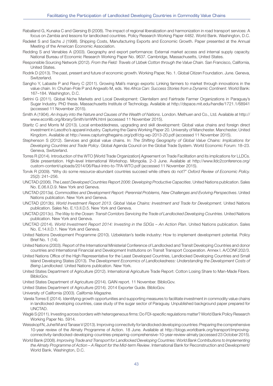- Raballand G, Kunaka C and Giersing B (2008). The impact of regional liberalization and harmonization in road transport services: A focus on Zambia and lessons for landlocked countries. Policy Research Working Paper 4482. World Bank. Washington, D.C.
- Radelet S and Sachs J (1998). Shipping Costs, Manufacturing Exports and Economic Growth. Paper presented at the Annual Meeting of the American Economic Association.
- Redding S and Venables A (2003). Geography and export performance: External market access and internal supply capacity. National Bureau of Economic Research Working Paper No. 9637. Cambridge, Massachusetts, United States.
- Responsible Sourcing Network (2012). From the Field: Travels of Uzbek Cotton through the Value Chain. San Francisco, California, United States.
- Rodrik D (2013). The past, present and future of economic growth. Working Paper, No. 1. Global Citizen Foundation. June. Geneva, Switzerland.
- Sangho Y, Labaste P and Ravry C (2011). Growing Mali's mango exports: Linking farmers to market through innovations in the value chain. In: Chuhan-Pole P and Angwafo M, eds. Yes Africa Can: Success Stories from a Dynamic Continent. World Bank: 167–184. Washington, D.C.
- Setrini G (2011). Global Niche Markets and Local Development: Clientelism and Fairtrade Farmer Organizations in Paraguay's Sugar Industry. PhD thesis. Massachusetts Institute of Technology. Available at http://dspace.mit.edu/handle/1721.1/68941 (accessed 11 November 2015).
- Smith A (1904). An Inquiry into the Nature and Causes of the Wealth of Nations. London. Methuen and Co., Ltd. Available at http:// www.econlib.org/library/Smith/smWN.html (accessed 11 November 2015).
- Staritz C and Morris M (2013). Local embeddedness, upgrading and skill development: Global value chains and foreign direct investment in Lesotho's apparel industry. Capturing the Gains Working Paper 20. University of Manchester. Manchester, United Kingdom. Available at http://www.capturingthegains.org/pdf/ctg-wp-2013-20.pdf (accessed 11 November 2015).
- Stephenson S (2012). Services and global value chains. In: The Shifting Geography of Global Value Chains: Implications for Developing Countries and Trade Policy. Global Agenda Council on the Global Trade System. World Economic Forum: 18–23. Geneva, Switzerland.
- Torres R (2014). Introduction of the WTO [World Trade Organization] Agreement on Trade Facilitation and its implications for LLDCs. Slide presentation. High-level International Workshop. Mongolia. 2–3 June. Available at http://www.lldc2conference.org/ custom-content/uploads/2014/06/Raul-Intro-to-TFA-WTO.pdf (accessed 11 November 2015).
- Torvik R (2009). "Why do some resource-abundant countries succeed while others do not?" Oxford Review of Economic Policy. 25(2): 241–256.
- UNCTAD (2006). The Least Developed Countries Report 2006: Developing Productive Capacities. United Nations publication. Sales No. E.06.II.D.9. New York and Geneva.
- UNCTAD (2013a). Commodities and Development Report: Perennial Problems, New Challenges and Evolving Perspectives. United Nations publication. New York and Geneva.
- UNCTAD (2013b). World Investment Report 2013. Global Value Chains: Investment and Trade for Development. United Nations publication. Sales No. E.13.II.D.5. New York and Geneva.
- UNCTAD (2013c). The Way to the Ocean: Transit Corridors Servicing the Trade of Landlocked Developing Countries. United Nations publication. New York and Geneva.
- UNCTAD (2014). World Investment Report 2014: Investing in the SDGs An Action Plan. United Nations publication. Sales No. E.14.II.D.1. New York and Geneva.
- United Nations Development Programme (2010). Uzbekistan's textile industry: How to implement development potential. Policy Brief No. 1 (14).
- United Nations (2003). Report of the International Ministerial Conference of Landlocked and Transit Developing Countries and donor countries and International Financial and Development Institutions on Transit Transport Cooperation. Annex I. A/CONF.202/3.
- United Nations Office of the High Representative for the Least Developed Countries, Landlocked Developing Countries and Small Island Developing States (2013). The Development Economics of Landlockedness: Understanding the Development Costs of Being Landlocked. United Nations publication. New York.
- United States Department of Agriculture (2012). International Agriculture Trade Report: Cotton Losing Share to Man-Made Fibers. BiblioGov.
- United States Department of Agriculture (2014). GAIN report. 11 November. BiblioGov.
- United States Department of Agriculture (2014). 2014 Exporter Guide. BiblioGov.

University of California (2003). California Magazine.

- Varela Torres E (2014). Identifying growth opportunities and supporting measures to facilitate investment in commodity value chains in landlocked developing countries, case study of the sugar sector of Paraguay. Unpublished background paper prepared for UNCTAD.
- Waglé S (2011). Investing across borders with heterogeneous firms: Do FDI-specific regulations matter? World Bank Policy Research Working Paper No. 5914.
- Weisskopf N, Juhel M and Tanase V (2013). Improving connectivity for landlocked developing countries: Preparing the comprehensive 10-year review of the Almaty Programme of Action. 18 June. Available at http://blogs.worldbank.org/transport/improvingconnectivity-landlocked-developing-countries-preparing-comprehensive-10-year-review-almaty (accessed 23 October 2015).
- World Bank (2008). Improving Trade and Transport for Landlocked Developing Countries: World Bank Contributions to Implementing the Almaty Programme of Action - A Report for the Mid-term Review. International Bank for Reconstruction and Development/ World Bank. Washington, D.C.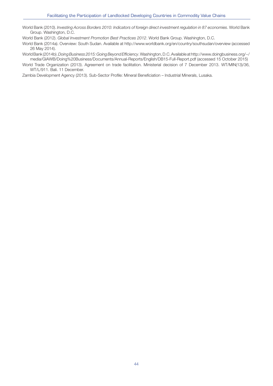World Bank (2010). Investing Across Borders 2010: Indicators of foreign direct investment regulation in 87 economies. World Bank Group. Washington, D.C.

World Bank (2012). Global Investment Promotion Best Practices 2012. World Bank Group. Washington, D.C.

World Bank (2014a). Overview: South Sudan. Available at http://www.worldbank.org/en/country/southsudan/overview (accessed 26 May 2014).

World Bank (2014b). Doing Business 2015: Going Beyond Efficiency. Washington, D.C. Available at http://www.doingbusiness.org/~/ media/GIAWB/Doing%20Business/Documents/Annual-Reports/English/DB15-Full-Report.pdf (accessed 15 October 2015)

World Trade Organization (2013). Agreement on trade facilitation. Ministerial decision of 7 December 2013. WT/MIN(13)/36, WT/L/911. Bali. 11 December.

Zambia Development Agency (2013). Sub-Sector Profile: Mineral Beneficiation – Industrial Minerals, Lusaka.